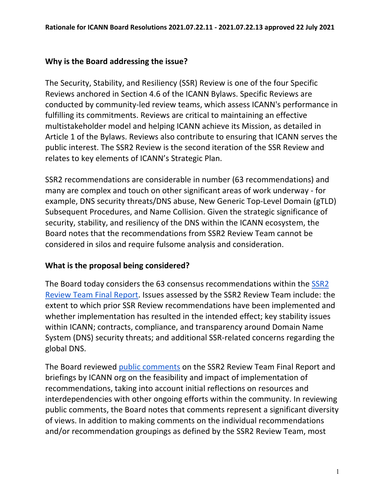#### **Why is the Board addressing the issue?**

The Security, Stability, and Resiliency (SSR) Review is one of the four Specific Reviews anchored in Section 4.6 of the ICANN Bylaws. Specific Reviews are conducted by community-led review teams, which assess ICANN's performance in fulfilling its commitments. Reviews are critical to maintaining an effective multistakeholder model and helping ICANN achieve its Mission, as detailed in Article 1 of the Bylaws. Reviews also contribute to ensuring that ICANN serves the public interest. The SSR2 Review is the second iteration of the SSR Review and relates to key elements of ICANN's Strategic Plan.

SSR2 recommendations are considerable in number (63 recommendations) and many are complex and touch on other significant areas of work underway - for example, DNS security threats/DNS abuse, New Generic Top-Level Domain (gTLD) Subsequent Procedures, and Name Collision. Given the strategic significance of security, stability, and resiliency of the DNS within the ICANN ecosystem, the Board notes that the recommendations from SSR2 Review Team cannot be considered in silos and require fulsome analysis and consideration.

### **What is the proposal being considered?**

The Board today considers the 63 consensus recommendations within the **SSR2** [Review Team Final Report.](https://www.icann.org/en/system/files/files/ssr2-review-team-final-report-25jan21-en.pdf) Issues assessed by the SSR2 Review Team include: the extent to which prior SSR Review recommendations have been implemented and whether implementation has resulted in the intended effect; key stability issues within ICANN; contracts, compliance, and transparency around Domain Name System (DNS) security threats; and additional SSR-related concerns regarding the global DNS.

The Board reviewed [public comments](https://www.icann.org/en/system/files/files/report-comments-ssr2-final-report-10may21-en.pdf) on the SSR2 Review Team Final Report and briefings by ICANN org on the feasibility and impact of implementation of recommendations, taking into account initial reflections on resources and interdependencies with other ongoing efforts within the community. In reviewing public comments, the Board notes that comments represent a significant diversity of views. In addition to making comments on the individual recommendations and/or recommendation groupings as defined by the SSR2 Review Team, most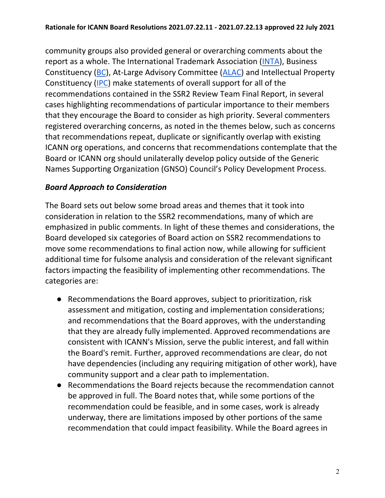community groups also provided general or overarching comments about the report as a whole. The International Trademark Association [\(INTA\)](https://mm.icann.org/pipermail/comments-ssr2-final-report-28jan21/attachments/20210408/79c8e11f/INTACommentsonSSR2FinalReportSigned.pdf), Business Constituency [\(BC\)](https://mm.icann.org/pipermail/comments-ssr2-final-report-28jan21/attachments/20210409/37a01b55/BCcommentonFinalRecommendationsfor2ndSecurityStabilityandResiliencyReviewSSR2.pdf), At-Large Advisory Committee [\(ALAC\)](https://mm.icann.org/pipermail/comments-ssr2-final-report-28jan21/attachments/20210412/300e9483/AL-ALAC-ST-0421-01-00-EN.pdf) and Intellectual Property Constituency [\(IPC\)](https://mm.icann.org/pipermail/comments-ssr2-final-report-28jan21/2021q2/000015.html) make statements of overall support for all of the recommendations contained in the SSR2 Review Team Final Report, in several cases highlighting recommendations of particular importance to their members that they encourage the Board to consider as high priority. Several commenters registered overarching concerns, as noted in the themes below, such as concerns that recommendations repeat, duplicate or significantly overlap with existing ICANN org operations, and concerns that recommendations contemplate that the Board or ICANN org should unilaterally develop policy outside of the Generic Names Supporting Organization (GNSO) Council's Policy Development Process.

## *Board Approach to Consideration*

The Board sets out below some broad areas and themes that it took into consideration in relation to the SSR2 recommendations, many of which are emphasized in public comments. In light of these themes and considerations, the Board developed six categories of Board action on SSR2 recommendations to move some recommendations to final action now, while allowing for sufficient additional time for fulsome analysis and consideration of the relevant significant factors impacting the feasibility of implementing other recommendations. The categories are:

- Recommendations the Board approves, subject to prioritization, risk assessment and mitigation, costing and implementation considerations; and recommendations that the Board approves, with the understanding that they are already fully implemented. Approved recommendations are consistent with ICANN's Mission, serve the public interest, and fall within the Board's remit. Further, approved recommendations are clear, do not have dependencies (including any requiring mitigation of other work), have community support and a clear path to implementation.
- Recommendations the Board rejects because the recommendation cannot be approved in full. The Board notes that, while some portions of the recommendation could be feasible, and in some cases, work is already underway, there are limitations imposed by other portions of the same recommendation that could impact feasibility. While the Board agrees in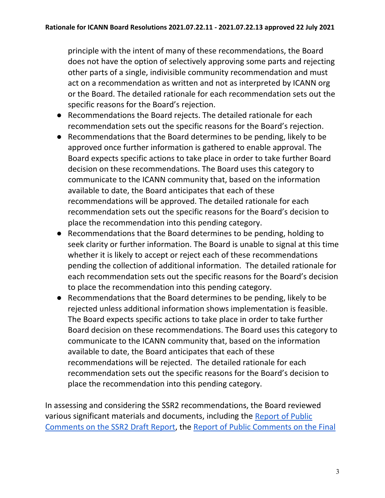principle with the intent of many of these recommendations, the Board does not have the option of selectively approving some parts and rejecting other parts of a single, indivisible community recommendation and must act on a recommendation as written and not as interpreted by ICANN org or the Board. The detailed rationale for each recommendation sets out the specific reasons for the Board's rejection.

- Recommendations the Board rejects. The detailed rationale for each recommendation sets out the specific reasons for the Board's rejection.
- Recommendations that the Board determines to be pending, likely to be approved once further information is gathered to enable approval. The Board expects specific actions to take place in order to take further Board decision on these recommendations. The Board uses this category to communicate to the ICANN community that, based on the information available to date, the Board anticipates that each of these recommendations will be approved. The detailed rationale for each recommendation sets out the specific reasons for the Board's decision to place the recommendation into this pending category.
- Recommendations that the Board determines to be pending, holding to seek clarity or further information. The Board is unable to signal at this time whether it is likely to accept or reject each of these recommendations pending the collection of additional information. The detailed rationale for each recommendation sets out the specific reasons for the Board's decision to place the recommendation into this pending category.
- Recommendations that the Board determines to be pending, likely to be rejected unless additional information shows implementation is feasible. The Board expects specific actions to take place in order to take further Board decision on these recommendations. The Board uses this category to communicate to the ICANN community that, based on the information available to date, the Board anticipates that each of these recommendations will be rejected. The detailed rationale for each recommendation sets out the specific reasons for the Board's decision to place the recommendation into this pending category.

In assessing and considering the SSR2 recommendations, the Board reviewed various significant materials and documents, including the [Report of Public](https://www.icann.org/en/system/files/files/report-comments-ssr2-rt-draft-report-22apr20-en.pdf)  [Comments on the SSR2 Draft Report,](https://www.icann.org/en/system/files/files/report-comments-ssr2-rt-draft-report-22apr20-en.pdf) the [Report of Public Comments on the Final](https://www.icann.org/en/system/files/files/report-comments-ssr2-final-report-10may21-en.pdf)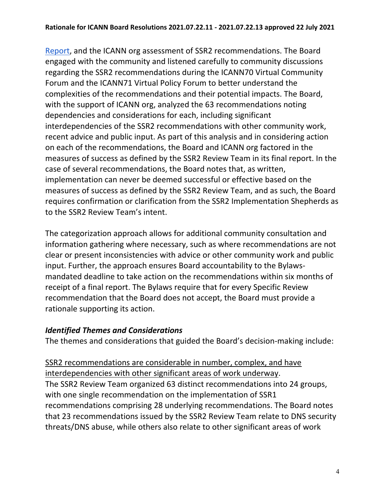[Report,](https://www.icann.org/en/system/files/files/report-comments-ssr2-final-report-10may21-en.pdf) and the ICANN org assessment of SSR2 recommendations. The Board engaged with the community and listened carefully to community discussions regarding the SSR2 recommendations during the ICANN70 Virtual Community Forum and the ICANN71 Virtual Policy Forum to better understand the complexities of the recommendations and their potential impacts. The Board, with the support of ICANN org, analyzed the 63 recommendations noting dependencies and considerations for each, including significant interdependencies of the SSR2 recommendations with other community work, recent advice and public input. As part of this analysis and in considering action on each of the recommendations, the Board and ICANN org factored in the measures of success as defined by the SSR2 Review Team in its final report. In the case of several recommendations, the Board notes that, as written, implementation can never be deemed successful or effective based on the measures of success as defined by the SSR2 Review Team, and as such, the Board requires confirmation or clarification from the SSR2 Implementation Shepherds as to the SSR2 Review Team's intent.

The categorization approach allows for additional community consultation and information gathering where necessary, such as where recommendations are not clear or present inconsistencies with advice or other community work and public input. Further, the approach ensures Board accountability to the Bylawsmandated deadline to take action on the recommendations within six months of receipt of a final report. The Bylaws require that for every Specific Review recommendation that the Board does not accept, the Board must provide a rationale supporting its action.

### *Identified Themes and Considerations*

The themes and considerations that guided the Board's decision-making include:

SSR2 recommendations are considerable in number, complex, and have interdependencies with other significant areas of work underway. The SSR2 Review Team organized 63 distinct recommendations into 24 groups, with one single recommendation on the implementation of SSR1 recommendations comprising 28 underlying recommendations. The Board notes that 23 recommendations issued by the SSR2 Review Team relate to DNS security threats/DNS abuse, while others also relate to other significant areas of work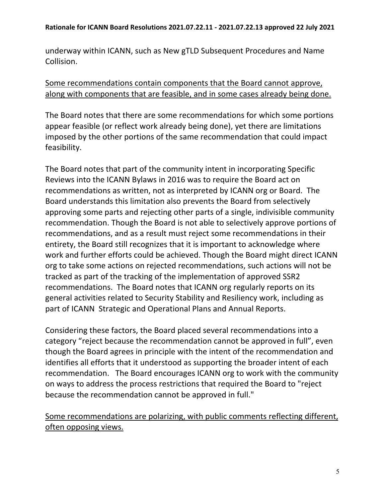underway within ICANN, such as New gTLD Subsequent Procedures and Name Collision.

### Some recommendations contain components that the Board cannot approve, along with components that are feasible, and in some cases already being done.

The Board notes that there are some recommendations for which some portions appear feasible (or reflect work already being done), yet there are limitations imposed by the other portions of the same recommendation that could impact feasibility.

The Board notes that part of the community intent in incorporating Specific Reviews into the ICANN Bylaws in 2016 was to require the Board act on recommendations as written, not as interpreted by ICANN org or Board. The Board understands this limitation also prevents the Board from selectively approving some parts and rejecting other parts of a single, indivisible community recommendation. Though the Board is not able to selectively approve portions of recommendations, and as a result must reject some recommendations in their entirety, the Board still recognizes that it is important to acknowledge where work and further efforts could be achieved. Though the Board might direct ICANN org to take some actions on rejected recommendations, such actions will not be tracked as part of the tracking of the implementation of approved SSR2 recommendations. The Board notes that ICANN org regularly reports on its general activities related to Security Stability and Resiliency work, including as part of ICANN Strategic and Operational Plans and Annual Reports.

Considering these factors, the Board placed several recommendations into a category "reject because the recommendation cannot be approved in full", even though the Board agrees in principle with the intent of the recommendation and identifies all efforts that it understood as supporting the broader intent of each recommendation. The Board encourages ICANN org to work with the community on ways to address the process restrictions that required the Board to "reject because the recommendation cannot be approved in full."

## Some recommendations are polarizing, with public comments reflecting different, often opposing views.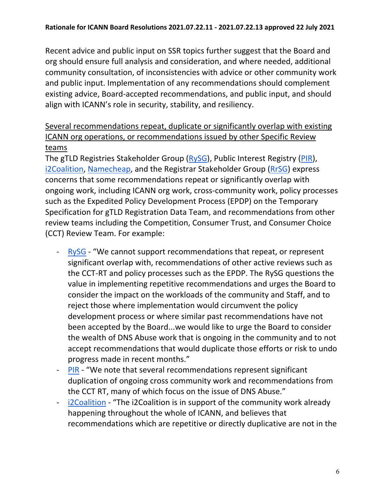Recent advice and public input on SSR topics further suggest that the Board and org should ensure full analysis and consideration, and where needed, additional community consultation, of inconsistencies with advice or other community work and public input. Implementation of any recommendations should complement existing advice, Board-accepted recommendations, and public input, and should align with ICANN's role in security, stability, and resiliency.

# Several recommendations repeat, duplicate or significantly overlap with existing ICANN org operations, or recommendations issued by other Specific Review teams

The gTLD Registries Stakeholder Group [\(RySG\)](https://mm.icann.org/pipermail/comments-ssr2-final-report-28jan21/attachments/20210309/de99b585/RySG_comment_Second_Security_Stability_and_Resiliency_SSR2_Review_Team_Final_Report_March-2021.pdf), Public Interest Registry [\(PIR\)](https://mm.icann.org/pipermail/comments-ssr2-final-report-28jan21/attachments/20210310/51a93382/PIRCommentontheSecondSSR2FinalReport.pdf), [i2Coalition,](https://mm.icann.org/pipermail/comments-ssr2-final-report-28jan21/attachments/20210408/09a32842/i2CoalitioncommentforSSR2.pdf) [Namecheap,](https://mm.icann.org/pipermail/comments-ssr2-final-report-28jan21/attachments/20210408/73b5d8e7/Namecheap-SSR2FinalReportcomment.pdf) and the Registrar Stakeholder Group [\(RrSG\)](https://mm.icann.org/pipermail/comments-ssr2-final-report-28jan21/attachments/20210409/266a750a/ssr2-review-team-final-report-recommendations-ForRrSGfinal.pdf) express concerns that some recommendations repeat or significantly overlap with ongoing work, including ICANN org work, cross-community work, policy processes such as the Expedited Policy Development Process (EPDP) on the Temporary Specification for gTLD Registration Data Team, and recommendations from other review teams including the Competition, Consumer Trust, and Consumer Choice (CCT) Review Team. For example:

- [RySG](https://mm.icann.org/pipermail/comments-ssr2-final-report-28jan21/attachments/20210309/de99b585/RySG_comment_Second_Security_Stability_and_Resiliency_SSR2_Review_Team_Final_Report_March-2021.pdf)  "We cannot support recommendations that repeat, or represent significant overlap with, recommendations of other active reviews such as the CCT-RT and policy processes such as the EPDP. The RySG questions the value in implementing repetitive recommendations and urges the Board to consider the impact on the workloads of the community and Staff, and to reject those where implementation would circumvent the policy development process or where similar past recommendations have not been accepted by the Board...we would like to urge the Board to consider the wealth of DNS Abuse work that is ongoing in the community and to not accept recommendations that would duplicate those efforts or risk to undo progress made in recent months."
- [PIR](https://mm.icann.org/pipermail/comments-ssr2-final-report-28jan21/attachments/20210310/51a93382/PIRCommentontheSecondSSR2FinalReport.pdf)  "We note that several recommendations represent significant duplication of ongoing cross community work and recommendations from the CCT RT, many of which focus on the issue of DNS Abuse."
- [i2Coalition](https://mm.icann.org/pipermail/comments-ssr2-final-report-28jan21/attachments/20210408/09a32842/i2CoalitioncommentforSSR2.pdf)  "The i2Coalition is in support of the community work already happening throughout the whole of ICANN, and believes that recommendations which are repetitive or directly duplicative are not in the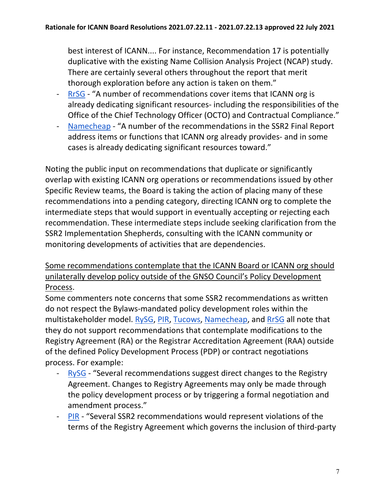best interest of ICANN.... For instance, Recommendation 17 is potentially duplicative with the existing Name Collision Analysis Project (NCAP) study. There are certainly several others throughout the report that merit thorough exploration before any action is taken on them."

- [RrSG](https://mm.icann.org/pipermail/comments-ssr2-final-report-28jan21/attachments/20210409/266a750a/ssr2-review-team-final-report-recommendations-ForRrSGfinal.pdf)  "A number of recommendations cover items that ICANN org is already dedicating significant resources- including the responsibilities of the Office of the Chief Technology Officer (OCTO) and Contractual Compliance."
- [Namecheap](https://mm.icann.org/pipermail/comments-ssr2-final-report-28jan21/attachments/20210408/73b5d8e7/Namecheap-SSR2FinalReportcomment.pdf)  "A number of the recommendations in the SSR2 Final Report address items or functions that ICANN org already provides- and in some cases is already dedicating significant resources toward."

Noting the public input on recommendations that duplicate or significantly overlap with existing ICANN org operations or recommendations issued by other Specific Review teams, the Board is taking the action of placing many of these recommendations into a pending category, directing ICANN org to complete the intermediate steps that would support in eventually accepting or rejecting each recommendation. These intermediate steps include seeking clarification from the SSR2 Implementation Shepherds, consulting with the ICANN community or monitoring developments of activities that are dependencies.

## Some recommendations contemplate that the ICANN Board or ICANN org should unilaterally develop policy outside of the GNSO Council's Policy Development Process.

Some commenters note concerns that some SSR2 recommendations as written do not respect the Bylaws-mandated policy development roles within the multistakeholder model. [RySG,](https://mm.icann.org/pipermail/comments-ssr2-final-report-28jan21/attachments/20210309/de99b585/RySG_comment_Second_Security_Stability_and_Resiliency_SSR2_Review_Team_Final_Report_March-2021.pdf) [PIR,](https://mm.icann.org/pipermail/comments-ssr2-final-report-28jan21/attachments/20210310/51a93382/PIRCommentontheSecondSSR2FinalReport.pdf) [Tucows,](https://mm.icann.org/pipermail/comments-ssr2-final-report-28jan21/attachments/20210408/4a9e8b3b/TucowsRegistrarFamilySSR2Response.pdf) [Namecheap,](https://mm.icann.org/pipermail/comments-ssr2-final-report-28jan21/attachments/20210408/73b5d8e7/Namecheap-SSR2FinalReportcomment.pdf) and [RrSG](https://mm.icann.org/pipermail/comments-ssr2-final-report-28jan21/attachments/20210409/266a750a/ssr2-review-team-final-report-recommendations-ForRrSGfinal.pdf) all note that they do not support recommendations that contemplate modifications to the Registry Agreement (RA) or the Registrar Accreditation Agreement (RAA) outside of the defined Policy Development Process (PDP) or contract negotiations process. For example:

- [RySG](https://mm.icann.org/pipermail/comments-ssr2-final-report-28jan21/attachments/20210309/de99b585/RySG_comment_Second_Security_Stability_and_Resiliency_SSR2_Review_Team_Final_Report_March-2021.pdf)  "Several recommendations suggest direct changes to the Registry Agreement. Changes to Registry Agreements may only be made through the policy development process or by triggering a formal negotiation and amendment process."
- [PIR](https://mm.icann.org/pipermail/comments-ssr2-final-report-28jan21/attachments/20210310/51a93382/PIRCommentontheSecondSSR2FinalReport.pdf)  "Several SSR2 recommendations would represent violations of the terms of the Registry Agreement which governs the inclusion of third-party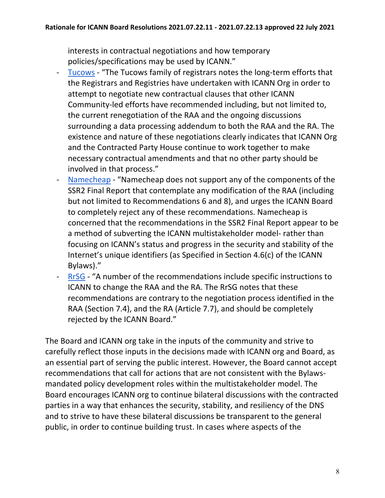interests in contractual negotiations and how temporary policies/specifications may be used by ICANN."

- [Tucows](https://mm.icann.org/pipermail/comments-ssr2-final-report-28jan21/attachments/20210408/4a9e8b3b/TucowsRegistrarFamilySSR2Response.pdf)  "The Tucows family of registrars notes the long-term efforts that the Registrars and Registries have undertaken with ICANN Org in order to attempt to negotiate new contractual clauses that other ICANN Community-led efforts have recommended including, but not limited to, the current renegotiation of the RAA and the ongoing discussions surrounding a data processing addendum to both the RAA and the RA. The existence and nature of these negotiations clearly indicates that ICANN Org and the Contracted Party House continue to work together to make necessary contractual amendments and that no other party should be involved in that process."
- [Namecheap](https://mm.icann.org/pipermail/comments-ssr2-final-report-28jan21/attachments/20210408/73b5d8e7/Namecheap-SSR2FinalReportcomment.pdf)  "Namecheap does not support any of the components of the SSR2 Final Report that contemplate any modification of the RAA (including but not limited to Recommendations 6 and 8), and urges the ICANN Board to completely reject any of these recommendations. Namecheap is concerned that the recommendations in the SSR2 Final Report appear to be a method of subverting the ICANN multistakeholder model- rather than focusing on ICANN's status and progress in the security and stability of the Internet's unique identifiers (as Specified in Section 4.6(c) of the ICANN Bylaws)."
- [RrSG](https://mm.icann.org/pipermail/comments-ssr2-final-report-28jan21/attachments/20210409/266a750a/ssr2-review-team-final-report-recommendations-ForRrSGfinal.pdf)  "A number of the recommendations include specific instructions to ICANN to change the RAA and the RA. The RrSG notes that these recommendations are contrary to the negotiation process identified in the RAA (Section 7.4), and the RA (Article 7.7), and should be completely rejected by the ICANN Board."

The Board and ICANN org take in the inputs of the community and strive to carefully reflect those inputs in the decisions made with ICANN org and Board, as an essential part of serving the public interest. However, the Board cannot accept recommendations that call for actions that are not consistent with the Bylawsmandated policy development roles within the multistakeholder model. The Board encourages ICANN org to continue bilateral discussions with the contracted parties in a way that enhances the security, stability, and resiliency of the DNS and to strive to have these bilateral discussions be transparent to the general public, in order to continue building trust. In cases where aspects of the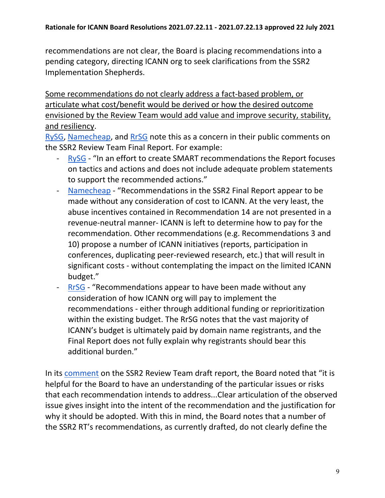recommendations are not clear, the Board is placing recommendations into a pending category, directing ICANN org to seek clarifications from the SSR2 Implementation Shepherds.

Some recommendations do not clearly address a fact-based problem, or articulate what cost/benefit would be derived or how the desired outcome envisioned by the Review Team would add value and improve security, stability, and resiliency.

[RySG,](https://mm.icann.org/pipermail/comments-ssr2-final-report-28jan21/attachments/20210309/de99b585/RySG_comment_Second_Security_Stability_and_Resiliency_SSR2_Review_Team_Final_Report_March-2021.pdf) [Namecheap,](https://mm.icann.org/pipermail/comments-ssr2-final-report-28jan21/attachments/20210408/73b5d8e7/Namecheap-SSR2FinalReportcomment.pdf) and [RrSG](https://mm.icann.org/pipermail/comments-ssr2-final-report-28jan21/attachments/20210409/266a750a/ssr2-review-team-final-report-recommendations-ForRrSGfinal.pdf) note this as a concern in their public comments on the SSR2 Review Team Final Report. For example:

- [RySG](https://mm.icann.org/pipermail/comments-ssr2-final-report-28jan21/attachments/20210309/de99b585/RySG_comment_Second_Security_Stability_and_Resiliency_SSR2_Review_Team_Final_Report_March-2021.pdf)  "In an effort to create SMART recommendations the Report focuses on tactics and actions and does not include adequate problem statements to support the recommended actions."
- [Namecheap](https://mm.icann.org/pipermail/comments-ssr2-final-report-28jan21/attachments/20210408/73b5d8e7/Namecheap-SSR2FinalReportcomment.pdf)  "Recommendations in the SSR2 Final Report appear to be made without any consideration of cost to ICANN. At the very least, the abuse incentives contained in Recommendation 14 are not presented in a revenue-neutral manner- ICANN is left to determine how to pay for the recommendation. Other recommendations (e.g. Recommendations 3 and 10) propose a number of ICANN initiatives (reports, participation in conferences, duplicating peer-reviewed research, etc.) that will result in significant costs - without contemplating the impact on the limited ICANN budget."
- [RrSG](https://mm.icann.org/pipermail/comments-ssr2-final-report-28jan21/attachments/20210409/266a750a/ssr2-review-team-final-report-recommendations-ForRrSGfinal.pdf)  "Recommendations appear to have been made without any consideration of how ICANN org will pay to implement the recommendations - either through additional funding or reprioritization within the existing budget. The RrSG notes that the vast majority of ICANN's budget is ultimately paid by domain name registrants, and the Final Report does not fully explain why registrants should bear this additional burden."

In its [comment](https://mm.icann.org/pipermail/comments-ssr2-rt-draft-report-24jan20/attachments/20200320/d0e1d821/03.20.20BoardPCSubmissionFINAL-0001.pdf) on the SSR2 Review Team draft report, the Board noted that "it is helpful for the Board to have an understanding of the particular issues or risks that each recommendation intends to address...Clear articulation of the observed issue gives insight into the intent of the recommendation and the justification for why it should be adopted. With this in mind, the Board notes that a number of the SSR2 RT's recommendations, as currently drafted, do not clearly define the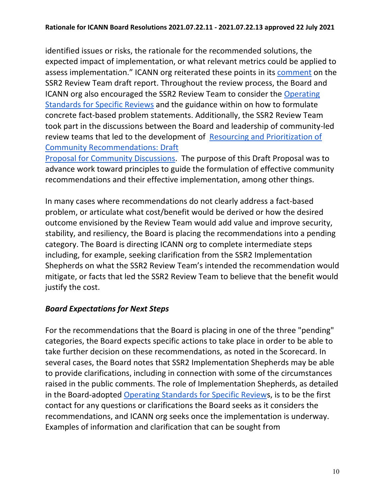identified issues or risks, the rationale for the recommended solutions, the expected impact of implementation, or what relevant metrics could be applied to assess implementation." ICANN org reiterated these points in its [comment](https://mm.icann.org/pipermail/comments-ssr2-rt-draft-report-24jan20/attachments/20200327/775628ad/ICANNorgpubliccommentsubmissiononSSR2DraftReport-0001.pdf) on the SSR2 Review Team draft report. Throughout the review process, the Board and ICANN org also encouraged the SSR2 Review Team to consider the [Operating](https://www.icann.org/en/system/files/files/operating-standards-specific-reviews-23jun19-en.pdf)  [Standards for Specific Reviews](https://www.icann.org/en/system/files/files/operating-standards-specific-reviews-23jun19-en.pdf) and the guidance within on how to formulate concrete fact-based problem statements. Additionally, the SSR2 Review Team took part in the discussions between the Board and leadership of community-led review teams that led to the development of [Resourcing and Prioritization of](https://www.icann.org/en/system/files/files/draft-proposal-resourcing-community-recommendations-29oct19-en.pdf)  [Community Recommendations: Draft](https://www.icann.org/en/system/files/files/draft-proposal-resourcing-community-recommendations-29oct19-en.pdf)

[Proposal for Community Discussions.](https://www.icann.org/en/system/files/files/draft-proposal-resourcing-community-recommendations-29oct19-en.pdf) The purpose of this Draft Proposal was to advance work toward principles to guide the formulation of effective community recommendations and their effective implementation, among other things.

In many cases where recommendations do not clearly address a fact-based problem, or articulate what cost/benefit would be derived or how the desired outcome envisioned by the Review Team would add value and improve security, stability, and resiliency, the Board is placing the recommendations into a pending category. The Board is directing ICANN org to complete intermediate steps including, for example, seeking clarification from the SSR2 Implementation Shepherds on what the SSR2 Review Team's intended the recommendation would mitigate, or facts that led the SSR2 Review Team to believe that the benefit would justify the cost.

# *Board Expectations for Next Steps*

For the recommendations that the Board is placing in one of the three "pending" categories, the Board expects specific actions to take place in order to be able to take further decision on these recommendations, as noted in the Scorecard. In several cases, the Board notes that SSR2 Implementation Shepherds may be able to provide clarifications, including in connection with some of the circumstances raised in the public comments. The role of Implementation Shepherds, as detailed in the Board-adopted [Operating Standards for Specific Reviews](https://www.icann.org/en/system/files/files/operating-standards-specific-reviews-23jun19-en.pdf), is to be the first contact for any questions or clarifications the Board seeks as it considers the recommendations, and ICANN org seeks once the implementation is underway. Examples of information and clarification that can be sought from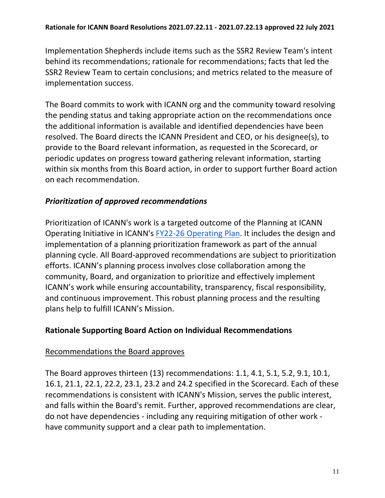Implementation Shepherds include items such as the SSR2 Review Team's intent behind its recommendations; rationale for recommendations; facts that led the SSR2 Review Team to certain conclusions; and metrics related to the measure of implementation success.

The Board commits to work with ICANN org and the community toward resolving the pending status and taking appropriate action on the recommendations once the additional information is available and identified dependencies have been resolved. The Board directs the ICANN President and CEO, or his designee(s), to provide to the Board relevant information, as requested in the Scorecard, or periodic updates on progress toward gathering relevant information, starting within six months from this Board action, in order to support further Board action on each recommendation.

## *Prioritization of approved recommendations*

Prioritization of ICANN's work is a targeted outcome of the Planning at ICANN Operating Initiative in ICANN's [FY22-26 Operating Plan.](https://www.icann.org/en/system/files/files/op-financial-plan-fy22-26-opplan-fy22-2021-en.pdf) It includes the design and implementation of a planning prioritization framework as part of the annual planning cycle. All Board-approved recommendations are subject to prioritization efforts. ICANN's planning process involves close collaboration among the community, Board, and organization to prioritize and effectively implement ICANN's work while ensuring accountability, transparency, fiscal responsibility, and continuous improvement. This robust planning process and the resulting plans help to fulfill ICANN's Mission.

### **Rationale Supporting Board Action on Individual Recommendations**

### Recommendations the Board approves

The Board approves thirteen (13) recommendations: 1.1, 4.1, 5.1, 5.2, 9.1, 10.1, 16.1, 21.1, 22.1, 22.2, 23.1, 23.2 and 24.2 specified in the Scorecard. Each of these recommendations is consistent with ICANN's Mission, serves the public interest, and falls within the Board's remit. Further, approved recommendations are clear, do not have dependencies - including any requiring mitigation of other work have community support and a clear path to implementation.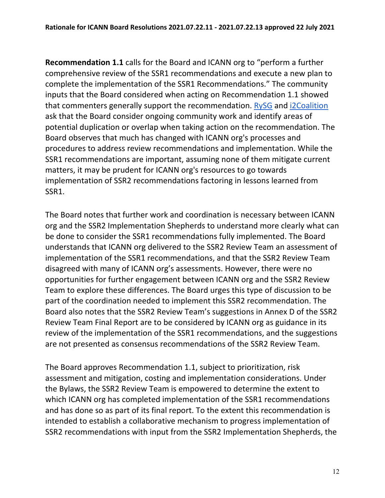**Recommendation 1.1** calls for the Board and ICANN org to "perform a further comprehensive review of the SSR1 recommendations and execute a new plan to complete the implementation of the SSR1 Recommendations." The community inputs that the Board considered when acting on Recommendation 1.1 showed that commenters generally support the recommendation. [RySG](https://mm.icann.org/pipermail/comments-ssr2-final-report-28jan21/attachments/20210309/de99b585/RySG_comment_Second_Security_Stability_and_Resiliency_SSR2_Review_Team_Final_Report_March-2021.pdf) and [i2Coalition](https://mm.icann.org/pipermail/comments-ssr2-final-report-28jan21/attachments/20210408/09a32842/i2CoalitioncommentforSSR2.pdf) ask that the Board consider ongoing community work and identify areas of potential duplication or overlap when taking action on the recommendation. The Board observes that much has changed with ICANN org's processes and procedures to address review recommendations and implementation. While the SSR1 recommendations are important, assuming none of them mitigate current matters, it may be prudent for ICANN org's resources to go towards implementation of SSR2 recommendations factoring in lessons learned from SSR1.

The Board notes that further work and coordination is necessary between ICANN org and the SSR2 Implementation Shepherds to understand more clearly what can be done to consider the SSR1 recommendations fully implemented. The Board understands that ICANN org delivered to the SSR2 Review Team an assessment of implementation of the SSR1 recommendations, and that the SSR2 Review Team disagreed with many of ICANN org's assessments. However, there were no opportunities for further engagement between ICANN org and the SSR2 Review Team to explore these differences. The Board urges this type of discussion to be part of the coordination needed to implement this SSR2 recommendation. The Board also notes that the SSR2 Review Team's suggestions in Annex D of the SSR2 Review Team Final Report are to be considered by ICANN org as guidance in its review of the implementation of the SSR1 recommendations, and the suggestions are not presented as consensus recommendations of the SSR2 Review Team.

The Board approves Recommendation 1.1, subject to prioritization, risk assessment and mitigation, costing and implementation considerations. Under the Bylaws, the SSR2 Review Team is empowered to determine the extent to which ICANN org has completed implementation of the SSR1 recommendations and has done so as part of its final report. To the extent this recommendation is intended to establish a collaborative mechanism to progress implementation of SSR2 recommendations with input from the SSR2 Implementation Shepherds, the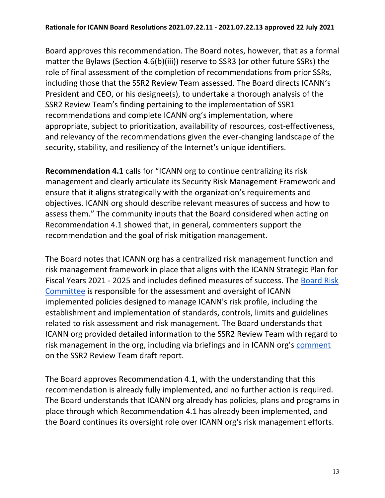Board approves this recommendation. The Board notes, however, that as a formal matter the Bylaws (Section 4.6(b)(iii)) reserve to SSR3 (or other future SSRs) the role of final assessment of the completion of recommendations from prior SSRs, including those that the SSR2 Review Team assessed. The Board directs ICANN's President and CEO, or his designee(s), to undertake a thorough analysis of the SSR2 Review Team's finding pertaining to the implementation of SSR1 recommendations and complete ICANN org's implementation, where appropriate, subject to prioritization, availability of resources, cost-effectiveness, and relevancy of the recommendations given the ever-changing landscape of the security, stability, and resiliency of the Internet's unique identifiers.

**Recommendation 4.1** calls for "ICANN org to continue centralizing its risk management and clearly articulate its Security Risk Management Framework and ensure that it aligns strategically with the organization's requirements and objectives. ICANN org should describe relevant measures of success and how to assess them." The community inputs that the Board considered when acting on Recommendation 4.1 showed that, in general, commenters support the recommendation and the goal of risk mitigation management.

The Board notes that ICANN org has a centralized risk management function and risk management framework in place that aligns with the ICANN Strategic Plan for Fiscal Years 2021 - 2025 and includes defined measures of success. The [Board Risk](https://www.icann.org/resources/pages/risk-committee-2014-03-21-en)  [Committee](https://www.icann.org/resources/pages/risk-committee-2014-03-21-en) is responsible for the assessment and oversight of ICANN implemented policies designed to manage ICANN's risk profile, including the establishment and implementation of standards, controls, limits and guidelines related to risk assessment and risk management. The Board understands that ICANN org provided detailed information to the SSR2 Review Team with regard to risk management in the org, including via briefings and in ICANN org's [comment](https://mm.icann.org/pipermail/comments-ssr2-rt-draft-report-24jan20/attachments/20200327/775628ad/ICANNorgpubliccommentsubmissiononSSR2DraftReport-0001.pdf) on the SSR2 Review Team draft report.

The Board approves Recommendation 4.1, with the understanding that this recommendation is already fully implemented, and no further action is required. The Board understands that ICANN org already has policies, plans and programs in place through which Recommendation 4.1 has already been implemented, and the Board continues its oversight role over ICANN org's risk management efforts.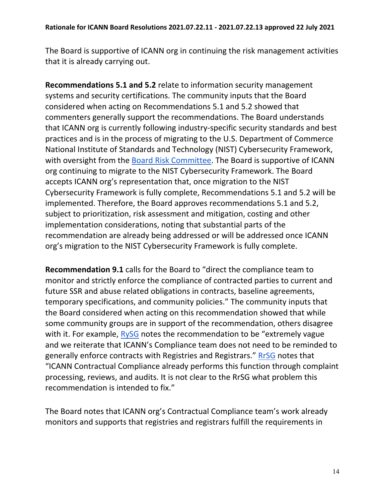The Board is supportive of ICANN org in continuing the risk management activities that it is already carrying out.

**Recommendations 5.1 and 5.2** relate to information security management systems and security certifications. The community inputs that the Board considered when acting on Recommendations 5.1 and 5.2 showed that commenters generally support the recommendations. The Board understands that ICANN org is currently following industry-specific security standards and best practices and is in the process of migrating to the U.S. Department of Commerce National Institute of Standards and Technology (NIST) Cybersecurity Framework, with oversight from the [Board Risk Committee.](https://www.icann.org/resources/pages/risk-committee-2014-03-21-en) The Board is supportive of ICANN org continuing to migrate to the NIST Cybersecurity Framework. The Board accepts ICANN org's representation that, once migration to the NIST Cybersecurity Framework is fully complete, Recommendations 5.1 and 5.2 will be implemented. Therefore, the Board approves recommendations 5.1 and 5.2, subject to prioritization, risk assessment and mitigation, costing and other implementation considerations, noting that substantial parts of the recommendation are already being addressed or will be addressed once ICANN org's migration to the NIST Cybersecurity Framework is fully complete.

**Recommendation 9.1** calls for the Board to "direct the compliance team to monitor and strictly enforce the compliance of contracted parties to current and future SSR and abuse related obligations in contracts, baseline agreements, temporary specifications, and community policies." The community inputs that the Board considered when acting on this recommendation showed that while some community groups are in support of the recommendation, others disagree with it. For example, [RySG](https://mm.icann.org/pipermail/comments-ssr2-final-report-28jan21/attachments/20210309/de99b585/RySG_comment_Second_Security_Stability_and_Resiliency_SSR2_Review_Team_Final_Report_March-2021.pdf) notes the recommendation to be "extremely vague and we reiterate that ICANN's Compliance team does not need to be reminded to generally enforce contracts with Registries and Registrars." [RrSG](https://mm.icann.org/pipermail/comments-ssr2-final-report-28jan21/attachments/20210409/266a750a/ssr2-review-team-final-report-recommendations-ForRrSGfinal.pdf) notes that "ICANN Contractual Compliance already performs this function through complaint processing, reviews, and audits. It is not clear to the RrSG what problem this recommendation is intended to fix."

The Board notes that ICANN org's Contractual Compliance team's work already monitors and supports that registries and registrars fulfill the requirements in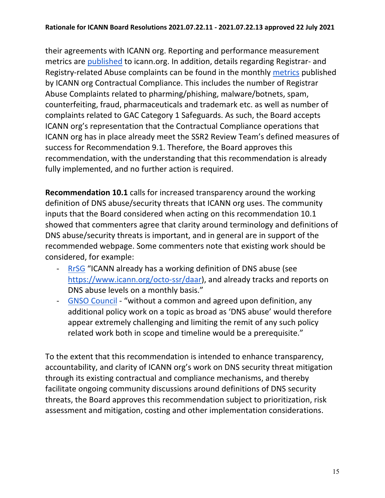their agreements with ICANN org. Reporting and performance measurement metrics are [published](https://www.icann.org/resources/compliance-reporting-performance) to icann.org. In addition, details regarding Registrar- and Registry-related Abuse complaints can be found in the monthly [metrics](https://features.icann.org/compliance/dashboard/report-list) published by ICANN org Contractual Compliance. This includes the number of Registrar Abuse Complaints related to pharming/phishing, malware/botnets, spam, counterfeiting, fraud, pharmaceuticals and trademark etc. as well as number of complaints related to GAC Category 1 Safeguards. As such, the Board accepts ICANN org's representation that the Contractual Compliance operations that ICANN org has in place already meet the SSR2 Review Team's defined measures of success for Recommendation 9.1. Therefore, the Board approves this recommendation, with the understanding that this recommendation is already fully implemented, and no further action is required.

**Recommendation 10.1** calls for increased transparency around the working definition of DNS abuse/security threats that ICANN org uses. The community inputs that the Board considered when acting on this recommendation 10.1 showed that commenters agree that clarity around terminology and definitions of DNS abuse/security threats is important, and in general are in support of the recommended webpage. Some commenters note that existing work should be considered, for example:

- [RrSG](https://mm.icann.org/pipermail/comments-ssr2-final-report-28jan21/attachments/20210409/266a750a/ssr2-review-team-final-report-recommendations-ForRrSGfinal.pdf) "ICANN already has a working definition of DNS abuse (see [https://www.icann.org/octo-ssr/daar\)](https://www.icann.org/octo-ssr/daar), and already tracks and reports on DNS abuse levels on a monthly basis."
- [GNSO Council](https://mm.icann.org/pipermail/comments-ssr2-final-report-28jan21/attachments/20210408/b81bd0ad/SSR2Recommendations-GNSOComments_20210408.pdf)  "without a common and agreed upon definition, any additional policy work on a topic as broad as 'DNS abuse' would therefore appear extremely challenging and limiting the remit of any such policy related work both in scope and timeline would be a prerequisite."

To the extent that this recommendation is intended to enhance transparency, accountability, and clarity of ICANN org's work on DNS security threat mitigation through its existing contractual and compliance mechanisms, and thereby facilitate ongoing community discussions around definitions of DNS security threats, the Board approves this recommendation subject to prioritization, risk assessment and mitigation, costing and other implementation considerations.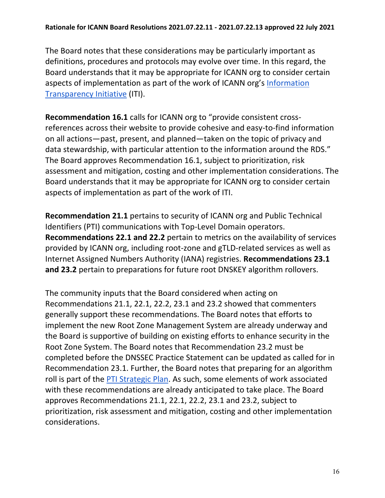The Board notes that these considerations may be particularly important as definitions, procedures and protocols may evolve over time. In this regard, the Board understands that it may be appropriate for ICANN org to consider certain aspects of implementation as part of the work of ICANN org's [Information](https://www.icann.org/iti)  [Transparency Initiative](https://www.icann.org/iti) (ITI).

**Recommendation 16.1** calls for ICANN org to "provide consistent crossreferences across their website to provide cohesive and easy-to-find information on all actions—past, present, and planned—taken on the topic of privacy and data stewardship, with particular attention to the information around the RDS." The Board approves Recommendation 16.1, subject to prioritization, risk assessment and mitigation, costing and other implementation considerations. The Board understands that it may be appropriate for ICANN org to consider certain aspects of implementation as part of the work of ITI.

**Recommendation 21.1** pertains to security of ICANN org and Public Technical Identifiers (PTI) communications with Top-Level Domain operators. **Recommendations 22.1 and 22.2** pertain to metrics on the availability of services provided by ICANN org, including root-zone and gTLD-related services as well as Internet Assigned Numbers Authority (IANA) registries. **Recommendations 23.1 and 23.2** pertain to preparations for future root DNSKEY algorithm rollovers.

The community inputs that the Board considered when acting on Recommendations 21.1, 22.1, 22.2, 23.1 and 23.2 showed that commenters generally support these recommendations. The Board notes that efforts to implement the new Root Zone Management System are already underway and the Board is supportive of building on existing efforts to enhance security in the Root Zone System. The Board notes that Recommendation 23.2 must be completed before the DNSSEC Practice Statement can be updated as called for in Recommendation 23.1. Further, the Board notes that preparing for an algorithm roll is part of the [PTI Strategic Plan.](https://www.icann.org/en/system/files/files/pti-strategic-plan-2020-2024-15sep20-en.pdf) As such, some elements of work associated with these recommendations are already anticipated to take place. The Board approves Recommendations 21.1, 22.1, 22.2, 23.1 and 23.2, subject to prioritization, risk assessment and mitigation, costing and other implementation considerations.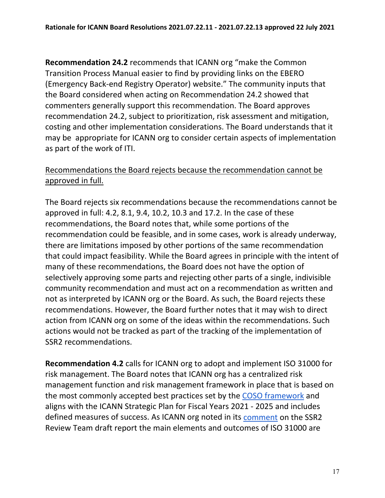**Recommendation 24.2** recommends that ICANN org "make the Common Transition Process Manual easier to find by providing links on the EBERO (Emergency Back-end Registry Operator) website." The community inputs that the Board considered when acting on Recommendation 24.2 showed that commenters generally support this recommendation. The Board approves recommendation 24.2, subject to prioritization, risk assessment and mitigation, costing and other implementation considerations. The Board understands that it may be appropriate for ICANN org to consider certain aspects of implementation as part of the work of ITI.

## Recommendations the Board rejects because the recommendation cannot be approved in full.

The Board rejects six recommendations because the recommendations cannot be approved in full: 4.2, 8.1, 9.4, 10.2, 10.3 and 17.2. In the case of these recommendations, the Board notes that, while some portions of the recommendation could be feasible, and in some cases, work is already underway, there are limitations imposed by other portions of the same recommendation that could impact feasibility. While the Board agrees in principle with the intent of many of these recommendations, the Board does not have the option of selectively approving some parts and rejecting other parts of a single, indivisible community recommendation and must act on a recommendation as written and not as interpreted by ICANN org or the Board. As such, the Board rejects these recommendations. However, the Board further notes that it may wish to direct action from ICANN org on some of the ideas within the recommendations. Such actions would not be tracked as part of the tracking of the implementation of SSR2 recommendations.

**Recommendation 4.2** calls for ICANN org to adopt and implement ISO 31000 for risk management. The Board notes that ICANN org has a centralized risk management function and risk management framework in place that is based on the most commonly accepted best practices set by the [COSO framework](https://www.coso.org/Pages/default.aspx) and aligns with the ICANN Strategic Plan for Fiscal Years 2021 - 2025 and includes defined measures of success. As ICANN org noted in its [comment](https://mm.icann.org/pipermail/comments-ssr2-rt-draft-report-24jan20/attachments/20200327/775628ad/ICANNorgpubliccommentsubmissiononSSR2DraftReport-0001.pdf) on the SSR2 Review Team draft report the main elements and outcomes of ISO 31000 are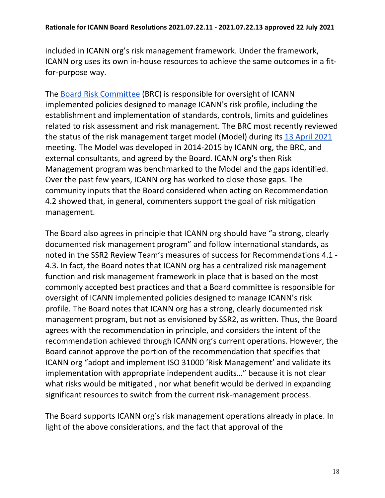included in ICANN org's risk management framework. Under the framework, ICANN org uses its own in-house resources to achieve the same outcomes in a fitfor-purpose way.

The [Board Risk Committee](https://www.icann.org/resources/pages/risk-committee-2014-03-21-en) (BRC) is responsible for oversight of ICANN implemented policies designed to manage ICANN's risk profile, including the establishment and implementation of standards, controls, limits and guidelines related to risk assessment and risk management. The BRC most recently reviewed the status of the risk management target model (Model) during its [13 April 2021](https://www.icann.org/resources/board-material/minutes-brc-2021-04-13-en)  meeting. The Model was developed in 2014-2015 by ICANN org, the BRC, and external consultants, and agreed by the Board. ICANN org's then Risk Management program was benchmarked to the Model and the gaps identified. Over the past few years, ICANN org has worked to close those gaps. The community inputs that the Board considered when acting on Recommendation 4.2 showed that, in general, commenters support the goal of risk mitigation management.

The Board also agrees in principle that ICANN org should have "a strong, clearly documented risk management program" and follow international standards, as noted in the SSR2 Review Team's measures of success for Recommendations 4.1 - 4.3. In fact, the Board notes that ICANN org has a centralized risk management function and risk management framework in place that is based on the most commonly accepted best practices and that a Board committee is responsible for oversight of ICANN implemented policies designed to manage ICANN's risk profile. The Board notes that ICANN org has a strong, clearly documented risk management program, but not as envisioned by SSR2, as written. Thus, the Board agrees with the recommendation in principle, and considers the intent of the recommendation achieved through ICANN org's current operations. However, the Board cannot approve the portion of the recommendation that specifies that ICANN org "adopt and implement ISO 31000 'Risk Management' and validate its implementation with appropriate independent audits…" because it is not clear what risks would be mitigated , nor what benefit would be derived in expanding significant resources to switch from the current risk-management process.

The Board supports ICANN org's risk management operations already in place. In light of the above considerations, and the fact that approval of the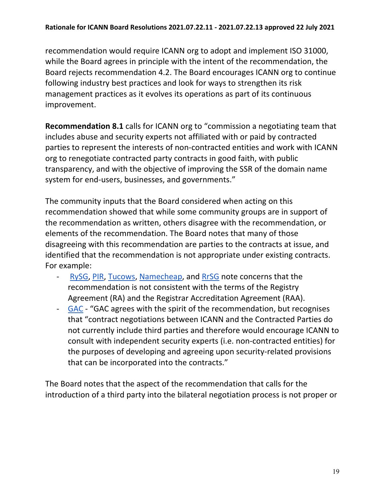recommendation would require ICANN org to adopt and implement ISO 31000, while the Board agrees in principle with the intent of the recommendation, the Board rejects recommendation 4.2. The Board encourages ICANN org to continue following industry best practices and look for ways to strengthen its risk management practices as it evolves its operations as part of its continuous improvement.

**Recommendation 8.1** calls for ICANN org to "commission a negotiating team that includes abuse and security experts not affiliated with or paid by contracted parties to represent the interests of non-contracted entities and work with ICANN org to renegotiate contracted party contracts in good faith, with public transparency, and with the objective of improving the SSR of the domain name system for end-users, businesses, and governments."

The community inputs that the Board considered when acting on this recommendation showed that while some community groups are in support of the recommendation as written, others disagree with the recommendation, or elements of the recommendation. The Board notes that many of those disagreeing with this recommendation are parties to the contracts at issue, and identified that the recommendation is not appropriate under existing contracts. For example:

- [RySG,](https://mm.icann.org/pipermail/comments-ssr2-final-report-28jan21/attachments/20210309/de99b585/RySG_comment_Second_Security_Stability_and_Resiliency_SSR2_Review_Team_Final_Report_March-2021.pdf) [PIR,](https://mm.icann.org/pipermail/comments-ssr2-final-report-28jan21/attachments/20210310/51a93382/PIRCommentontheSecondSSR2FinalReport.pdf) [Tucows,](https://mm.icann.org/pipermail/comments-ssr2-final-report-28jan21/attachments/20210408/4a9e8b3b/TucowsRegistrarFamilySSR2Response.pdf) [Namecheap,](https://mm.icann.org/pipermail/comments-ssr2-final-report-28jan21/attachments/20210408/73b5d8e7/Namecheap-SSR2FinalReportcomment.pdf) and [RrSG](https://mm.icann.org/pipermail/comments-ssr2-final-report-28jan21/attachments/20210409/266a750a/ssr2-review-team-final-report-recommendations-ForRrSGfinal.pdf) note concerns that the recommendation is not consistent with the terms of the Registry Agreement (RA) and the Registrar Accreditation Agreement (RAA).
- [GAC](https://mm.icann.org/pipermail/comments-ssr2-final-report-28jan21/attachments/20210409/dbfca0b0/gac-comments-ssr2-review-final-report-8apr21.pdf)  "GAC agrees with the spirit of the recommendation, but recognises that "contract negotiations between ICANN and the Contracted Parties do not currently include third parties and therefore would encourage ICANN to consult with independent security experts (i.e. non-contracted entities) for the purposes of developing and agreeing upon security-related provisions that can be incorporated into the contracts."

The Board notes that the aspect of the recommendation that calls for the introduction of a third party into the bilateral negotiation process is not proper or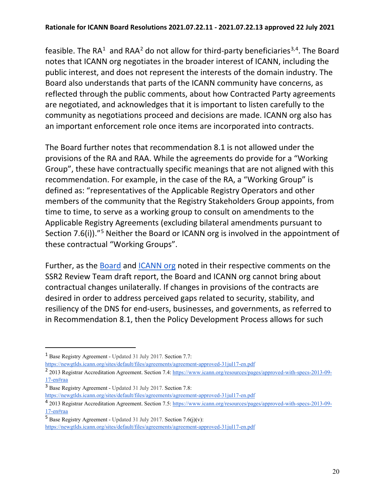feasible. The RA<sup>[1](#page-19-0)</sup> and RAA<sup>[2](#page-19-1)</sup> do not allow for third-party beneficiaries<sup>[3](#page-19-2),4</sup>. The Board notes that ICANN org negotiates in the broader interest of ICANN, including the public interest, and does not represent the interests of the domain industry. The Board also understands that parts of the ICANN community have concerns, as reflected through the public comments, about how Contracted Party agreements are negotiated, and acknowledges that it is important to listen carefully to the community as negotiations proceed and decisions are made. ICANN org also has an important enforcement role once items are incorporated into contracts.

The Board further notes that recommendation 8.1 is not allowed under the provisions of the RA and RAA. While the agreements do provide for a "Working Group", these have contractually specific meanings that are not aligned with this recommendation. For example, in the case of the RA, a "Working Group" is defined as: "representatives of the Applicable Registry Operators and other members of the community that the Registry Stakeholders Group appoints, from time to time, to serve as a working group to consult on amendments to the Applicable Registry Agreements (excluding bilateral amendments pursuant to Section 7.6(i))."[5](#page-19-4) Neither the Board or ICANN org is involved in the appointment of these contractual "Working Groups".

Further, as the [Board](https://mm.icann.org/pipermail/comments-ssr2-rt-draft-report-24jan20/attachments/20200320/d0e1d821/03.20.20BoardPCSubmissionFINAL-0001.pdf) and [ICANN org](https://mm.icann.org/pipermail/comments-ssr2-rt-draft-report-24jan20/attachments/20200327/775628ad/ICANNorgpubliccommentsubmissiononSSR2DraftReport-0001.pdf) noted in their respective comments on the SSR2 Review Team draft report, the Board and ICANN org cannot bring about contractual changes unilaterally. If changes in provisions of the contracts are desired in order to address perceived gaps related to security, stability, and resiliency of the DNS for end-users, businesses, and governments, as referred to in Recommendation 8.1, then the Policy Development Process allows for such

<span id="page-19-0"></span><sup>1</sup> Base Registry Agreement - Updated 31 July 2017. Section 7.7:

<https://newgtlds.icann.org/sites/default/files/agreements/agreement-approved-31jul17-en.pdf>

<span id="page-19-1"></span><sup>&</sup>lt;sup>2</sup> 2013 Registrar Accreditation Agreement. Section 7.4: [https://www.icann.org/resources/pages/approved-with-specs-2013-09-](https://www.icann.org/resources/pages/approved-with-specs-2013-09-17-en#raa) [17-en#raa](https://www.icann.org/resources/pages/approved-with-specs-2013-09-17-en#raa)

<span id="page-19-2"></span><sup>3</sup> Base Registry Agreement - Updated 31 July 2017. Section 7.8:

<https://newgtlds.icann.org/sites/default/files/agreements/agreement-approved-31jul17-en.pdf>

<span id="page-19-3"></span><sup>4</sup> 2013 Registrar Accreditation Agreement. Section 7.5: [https://www.icann.org/resources/pages/approved-with-specs-2013-09-](https://www.icann.org/resources/pages/approved-with-specs-2013-09-17-en#raa) [17-en#raa](https://www.icann.org/resources/pages/approved-with-specs-2013-09-17-en#raa) 

<span id="page-19-4"></span><sup>&</sup>lt;sup>5</sup> Base Registry Agreement - Updated 31 July 2017. Section 7.6(j)(v): <https://newgtlds.icann.org/sites/default/files/agreements/agreement-approved-31jul17-en.pdf>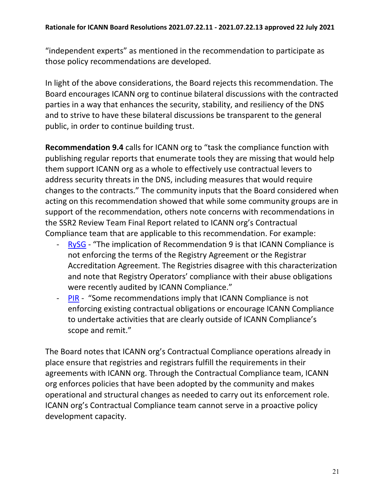"independent experts" as mentioned in the recommendation to participate as those policy recommendations are developed.

In light of the above considerations, the Board rejects this recommendation. The Board encourages ICANN org to continue bilateral discussions with the contracted parties in a way that enhances the security, stability, and resiliency of the DNS and to strive to have these bilateral discussions be transparent to the general public, in order to continue building trust.

**Recommendation 9.4** calls for ICANN org to "task the compliance function with publishing regular reports that enumerate tools they are missing that would help them support ICANN org as a whole to effectively use contractual levers to address security threats in the DNS, including measures that would require changes to the contracts." The community inputs that the Board considered when acting on this recommendation showed that while some community groups are in support of the recommendation, others note concerns with recommendations in the SSR2 Review Team Final Report related to ICANN org's Contractual Compliance team that are applicable to this recommendation. For example:

- [RySG](https://mm.icann.org/pipermail/comments-ssr2-final-report-28jan21/attachments/20210309/de99b585/RySG_comment_Second_Security_Stability_and_Resiliency_SSR2_Review_Team_Final_Report_March-2021.pdf)  "The implication of Recommendation 9 is that ICANN Compliance is not enforcing the terms of the Registry Agreement or the Registrar Accreditation Agreement. The Registries disagree with this characterization and note that Registry Operators' compliance with their abuse obligations were recently audited by ICANN Compliance."
- [PIR](https://mm.icann.org/pipermail/comments-ssr2-final-report-28jan21/attachments/20210310/51a93382/PIRCommentontheSecondSSR2FinalReport.pdf)  "Some recommendations imply that ICANN Compliance is not enforcing existing contractual obligations or encourage ICANN Compliance to undertake activities that are clearly outside of ICANN Compliance's scope and remit."

The Board notes that ICANN org's Contractual Compliance operations already in place ensure that registries and registrars fulfill the requirements in their agreements with ICANN org. Through the Contractual Compliance team, ICANN org enforces policies that have been adopted by the community and makes operational and structural changes as needed to carry out its enforcement role. ICANN org's Contractual Compliance team cannot serve in a proactive policy development capacity.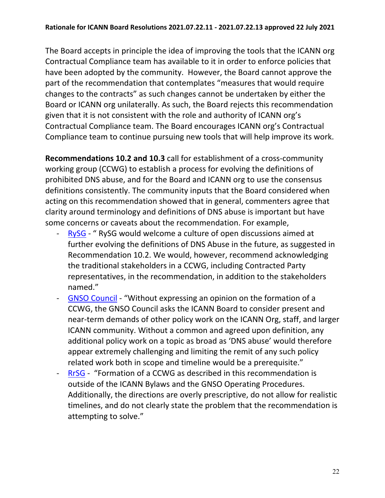The Board accepts in principle the idea of improving the tools that the ICANN org Contractual Compliance team has available to it in order to enforce policies that have been adopted by the community. However, the Board cannot approve the part of the recommendation that contemplates "measures that would require changes to the contracts" as such changes cannot be undertaken by either the Board or ICANN org unilaterally. As such, the Board rejects this recommendation given that it is not consistent with the role and authority of ICANN org's Contractual Compliance team. The Board encourages ICANN org's Contractual Compliance team to continue pursuing new tools that will help improve its work.

**Recommendations 10.2 and 10.3** call for establishment of a cross-community working group (CCWG) to establish a process for evolving the definitions of prohibited DNS abuse, and for the Board and ICANN org to use the consensus definitions consistently. The community inputs that the Board considered when acting on this recommendation showed that in general, commenters agree that clarity around terminology and definitions of DNS abuse is important but have some concerns or caveats about the recommendation. For example,

- [RySG](https://mm.icann.org/pipermail/comments-ssr2-final-report-28jan21/attachments/20210309/de99b585/RySG_comment_Second_Security_Stability_and_Resiliency_SSR2_Review_Team_Final_Report_March-2021.pdf)  " RySG would welcome a culture of open discussions aimed at further evolving the definitions of DNS Abuse in the future, as suggested in Recommendation 10.2. We would, however, recommend acknowledging the traditional stakeholders in a CCWG, including Contracted Party representatives, in the recommendation, in addition to the stakeholders named."
- [GNSO Council](https://mm.icann.org/pipermail/comments-ssr2-final-report-28jan21/attachments/20210408/b81bd0ad/SSR2Recommendations-GNSOComments_20210408.pdf)  "Without expressing an opinion on the formation of a CCWG, the GNSO Council asks the ICANN Board to consider present and near-term demands of other policy work on the ICANN Org, staff, and larger ICANN community. Without a common and agreed upon definition, any additional policy work on a topic as broad as 'DNS abuse' would therefore appear extremely challenging and limiting the remit of any such policy related work both in scope and timeline would be a prerequisite."
- [RrSG](https://mm.icann.org/pipermail/comments-ssr2-final-report-28jan21/attachments/20210409/266a750a/ssr2-review-team-final-report-recommendations-ForRrSGfinal.pdf)  "Formation of a CCWG as described in this recommendation is outside of the ICANN Bylaws and the GNSO Operating Procedures. Additionally, the directions are overly prescriptive, do not allow for realistic timelines, and do not clearly state the problem that the recommendation is attempting to solve."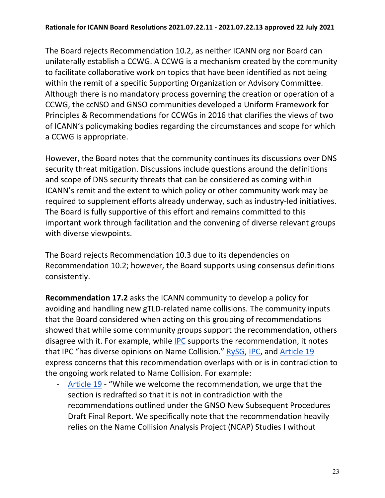The Board rejects Recommendation 10.2, as neither ICANN org nor Board can unilaterally establish a CCWG. A CCWG is a mechanism created by the community to facilitate collaborative work on topics that have been identified as not being within the remit of a specific Supporting Organization or Advisory Committee. Although there is no mandatory process governing the creation or operation of a CCWG, the ccNSO and GNSO communities developed a Uniform Framework for Principles & Recommendations for CCWGs in 2016 that clarifies the views of two of ICANN's policymaking bodies regarding the circumstances and scope for which a CCWG is appropriate.

However, the Board notes that the community continues its discussions over DNS security threat mitigation. Discussions include questions around the definitions and scope of DNS security threats that can be considered as coming within ICANN's remit and the extent to which policy or other community work may be required to supplement efforts already underway, such as industry-led initiatives. The Board is fully supportive of this effort and remains committed to this important work through facilitation and the convening of diverse relevant groups with diverse viewpoints.

The Board rejects Recommendation 10.3 due to its dependencies on Recommendation 10.2; however, the Board supports using consensus definitions consistently.

**Recommendation 17.2** asks the ICANN community to develop a policy for avoiding and handling new gTLD-related name collisions. The community inputs that the Board considered when acting on this grouping of recommendations showed that while some community groups support the recommendation, others disagree with it. For example, while [IPC](https://mm.icann.org/pipermail/comments-ssr2-final-report-28jan21/2021q2/000015.html) supports the recommendation, it notes that IPC "has diverse opinions on Name Collision." [RySG,](https://mm.icann.org/pipermail/comments-ssr2-final-report-28jan21/attachments/20210309/de99b585/RySG_comment_Second_Security_Stability_and_Resiliency_SSR2_Review_Team_Final_Report_March-2021.pdf) [IPC,](https://mm.icann.org/pipermail/comments-ssr2-final-report-28jan21/2021q2/000015.html) and [Article 19](https://mm.icann.org/pipermail/comments-ssr2-final-report-28jan21/attachments/20210408/f39fe225/A19DraftPublicCommentsICANNSecondSecurityStabilityandResiliencySSR2ReviewTeamFinalReportV1.0.pdf) express concerns that this recommendation overlaps with or is in contradiction to the ongoing work related to Name Collision. For example:

- [Article 19](https://mm.icann.org/pipermail/comments-ssr2-final-report-28jan21/attachments/20210408/f39fe225/A19DraftPublicCommentsICANNSecondSecurityStabilityandResiliencySSR2ReviewTeamFinalReportV1.0.pdf) - "While we welcome the recommendation, we urge that the section is redrafted so that it is not in contradiction with the recommendations outlined under the GNSO New Subsequent Procedures Draft Final Report. We specifically note that the recommendation heavily relies on the Name Collision Analysis Project (NCAP) Studies I without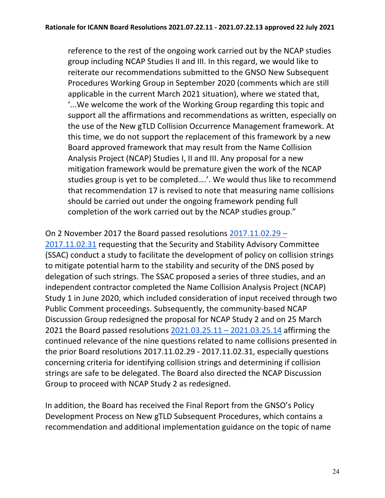reference to the rest of the ongoing work carried out by the NCAP studies group including NCAP Studies II and III. In this regard, we would like to reiterate our recommendations submitted to the GNSO New Subsequent Procedures Working Group in September 2020 (comments which are still applicable in the current March 2021 situation), where we stated that, '...We welcome the work of the Working Group regarding this topic and support all the affirmations and recommendations as written, especially on the use of the New gTLD Collision Occurrence Management framework. At this time, we do not support the replacement of this framework by a new Board approved framework that may result from the Name Collision Analysis Project (NCAP) Studies I, II and III. Any proposal for a new mitigation framework would be premature given the work of the NCAP studies group is yet to be completed….'. We would thus like to recommend that recommendation 17 is revised to note that measuring name collisions should be carried out under the ongoing framework pending full completion of the work carried out by the NCAP studies group."

### On 2 November 2017 the Board passed resolutions [2017.11.02.29 –](https://www.icann.org/resources/board-material/resolutions-2017-11-02-en#2.a)

[2017.11.02.31](https://www.icann.org/resources/board-material/resolutions-2017-11-02-en#2.a) requesting that the Security and Stability Advisory Committee (SSAC) conduct a study to facilitate the development of policy on collision strings to mitigate potential harm to the stability and security of the DNS posed by delegation of such strings. The SSAC proposed a series of three studies, and an independent contractor completed the Name Collision Analysis Project (NCAP) Study 1 in June 2020, which included consideration of input received through two Public Comment proceedings. Subsequently, the community-based NCAP Discussion Group redesigned the proposal for NCAP Study 2 and on 25 March 2021 the Board passed resolutions [2021.03.25.11 – 2021.03.25.14](https://www.icann.org/resources/board-material/resolutions-2021-03-25-en#2.b) affirming the continued relevance of the nine questions related to name collisions presented in the prior Board resolutions [2017.11.02.29 - 2017.11.02.31,](https://www.icann.org/resources/board-material/resolutions-2017-11-02-en#2.a) especially questions concerning criteria for identifying collision strings and determining if collision strings are safe to be delegated. The Board also directed the NCAP Discussion Group to proceed with NCAP Study 2 as redesigned.

In addition, the Board has received the Final Report from the GNSO's Policy Development Process on New gTLD Subsequent Procedures, which contains a recommendation and additional implementation guidance on the topic of name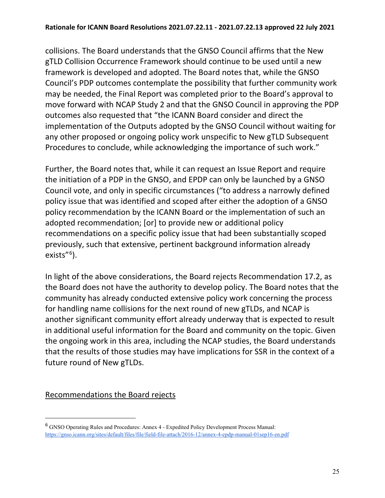collisions. The Board understands that the GNSO Council affirms that the New gTLD Collision Occurrence Framework should continue to be used until a new framework is developed and adopted. The Board notes that, while the GNSO Council's PDP outcomes contemplate the possibility that further community work may be needed, the Final Report was completed prior to the Board's approval to move forward with NCAP Study 2 and that the GNSO Council in approving the PDP outcomes also requested that "the ICANN Board consider and direct the implementation of the Outputs adopted by the GNSO Council without waiting for any other proposed or ongoing policy work unspecific to New gTLD Subsequent Procedures to conclude, while acknowledging the importance of such work."

Further, the Board notes that, while it can request an Issue Report and require the initiation of a PDP in the GNSO, and EPDP can only be launched by a GNSO Council vote, and only in specific circumstances ("to address a narrowly defined policy issue that was identified and scoped after either the adoption of a GNSO policy recommendation by the ICANN Board or the implementation of such an adopted recommendation; [or] to provide new or additional policy recommendations on a specific policy issue that had been substantially scoped previously, such that extensive, pertinent background information already exists"<sup>[6](#page-24-0)</sup>).

In light of the above considerations, the Board rejects Recommendation 17.2, as the Board does not have the authority to develop policy. The Board notes that the community has already conducted extensive policy work concerning the process for handling name collisions for the next round of new gTLDs, and NCAP is another significant community effort already underway that is expected to result in additional useful information for the Board and community on the topic. Given the ongoing work in this area, including the NCAP studies, the Board understands that the results of those studies may have implications for SSR in the context of a future round of New gTLDs.

### Recommendations the Board rejects

<span id="page-24-0"></span><sup>6</sup> GNSO Operating Rules and Procedures: Annex 4 - Expedited Policy Development Process Manual: <https://gnso.icann.org/sites/default/files/file/field-file-attach/2016-12/annex-4-epdp-manual-01sep16-en.pdf>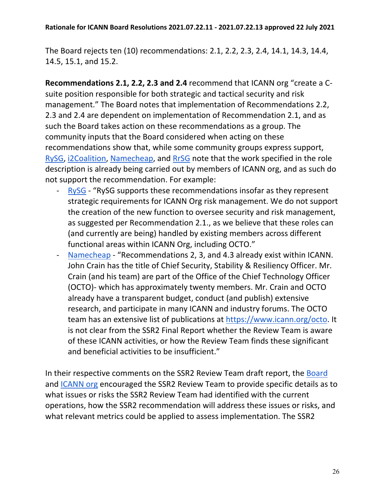The Board rejects ten (10) recommendations: 2.1, 2.2, 2.3, 2.4, 14.1, 14.3, 14.4, 14.5, 15.1, and 15.2.

**Recommendations 2.1, 2.2, 2.3 and 2.4** recommend that ICANN org "create a Csuite position responsible for both strategic and tactical security and risk management." The Board notes that implementation of Recommendations 2.2, 2.3 and 2.4 are dependent on implementation of Recommendation 2.1, and as such the Board takes action on these recommendations as a group. The community inputs that the Board considered when acting on these recommendations show that, while some community groups express support, [RySG,](https://mm.icann.org/pipermail/comments-ssr2-final-report-28jan21/attachments/20210309/de99b585/RySG_comment_Second_Security_Stability_and_Resiliency_SSR2_Review_Team_Final_Report_March-2021.pdf) [i2Coalition,](https://mm.icann.org/pipermail/comments-ssr2-final-report-28jan21/attachments/20210408/09a32842/i2CoalitioncommentforSSR2.pdf) [Namecheap,](https://mm.icann.org/pipermail/comments-ssr2-final-report-28jan21/attachments/20210408/73b5d8e7/Namecheap-SSR2FinalReportcomment.pdf) and [RrSG](https://mm.icann.org/pipermail/comments-ssr2-final-report-28jan21/attachments/20210409/266a750a/ssr2-review-team-final-report-recommendations-ForRrSGfinal.pdf) note that the work specified in the role description is already being carried out by members of ICANN org, and as such do not support the recommendation. For example:

- [RySG](https://mm.icann.org/pipermail/comments-ssr2-final-report-28jan21/attachments/20210309/de99b585/RySG_comment_Second_Security_Stability_and_Resiliency_SSR2_Review_Team_Final_Report_March-2021.pdf)  "RySG supports these recommendations insofar as they represent strategic requirements for ICANN Org risk management. We do not support the creation of the new function to oversee security and risk management, as suggested per Recommendation 2.1., as we believe that these roles can (and currently are being) handled by existing members across different functional areas within ICANN Org, including OCTO."
- [Namecheap](https://mm.icann.org/pipermail/comments-ssr2-final-report-28jan21/attachments/20210408/73b5d8e7/Namecheap-SSR2FinalReportcomment.pdf)  "Recommendations 2, 3, and 4.3 already exist within ICANN. John Crain has the title of Chief Security, Stability & Resiliency Officer. Mr. Crain (and his team) are part of the Office of the Chief Technology Officer (OCTO)- which has approximately twenty members. Mr. Crain and OCTO already have a transparent budget, conduct (and publish) extensive research, and participate in many ICANN and industry forums. The OCTO team has an extensive list of publications at [https://www.icann.org/octo.](https://www.icann.org/octo) It is not clear from the SSR2 Final Report whether the Review Team is aware of these ICANN activities, or how the Review Team finds these significant and beneficial activities to be insufficient."

In their respective comments on the SSR2 Review Team draft report, the [Board](https://mm.icann.org/pipermail/comments-ssr2-rt-draft-report-24jan20/attachments/20200320/d0e1d821/03.20.20BoardPCSubmissionFINAL-0001.pdf) and [ICANN org](https://mm.icann.org/pipermail/comments-ssr2-rt-draft-report-24jan20/attachments/20200327/775628ad/ICANNorgpubliccommentsubmissiononSSR2DraftReport-0001.pdf) encouraged the SSR2 Review Team to provide specific details as to what issues or risks the SSR2 Review Team had identified with the current operations, how the SSR2 recommendation will address these issues or risks, and what relevant metrics could be applied to assess implementation. The SSR2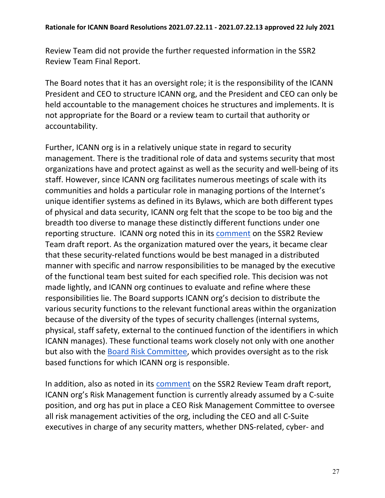Review Team did not provide the further requested information in the SSR2 Review Team Final Report.

The Board notes that it has an oversight role; it is the responsibility of the ICANN President and CEO to structure ICANN org, and the President and CEO can only be held accountable to the management choices he structures and implements. It is not appropriate for the Board or a review team to curtail that authority or accountability.

Further, ICANN org is in a relatively unique state in regard to security management. There is the traditional role of data and systems security that most organizations have and protect against as well as the security and well-being of its staff. However, since ICANN org facilitates numerous meetings of scale with its communities and holds a particular role in managing portions of the Internet's unique identifier systems as defined in its Bylaws, which are both different types of physical and data security, ICANN org felt that the scope to be too big and the breadth too diverse to manage these distinctly different functions under one reporting structure. ICANN org noted this in its [comment](https://mm.icann.org/pipermail/comments-ssr2-rt-draft-report-24jan20/attachments/20200327/775628ad/ICANNorgpubliccommentsubmissiononSSR2DraftReport-0001.pdf) on the SSR2 Review Team draft report. As the organization matured over the years, it became clear that these security-related functions would be best managed in a distributed manner with specific and narrow responsibilities to be managed by the executive of the functional team best suited for each specified role. This decision was not made lightly, and ICANN org continues to evaluate and refine where these responsibilities lie. The Board supports ICANN org's decision to distribute the various security functions to the relevant functional areas within the organization because of the diversity of the types of security challenges (internal systems, physical, staff safety, external to the continued function of the identifiers in which ICANN manages). These functional teams work closely not only with one another but also with the [Board Risk Committee,](https://www.icann.org/resources/pages/risk-committee-2014-03-21-en) which provides oversight as to the risk based functions for which ICANN org is responsible.

In addition, also as noted in its [comment](https://mm.icann.org/pipermail/comments-ssr2-rt-draft-report-24jan20/attachments/20200327/775628ad/ICANNorgpubliccommentsubmissiononSSR2DraftReport-0001.pdf) on the SSR2 Review Team draft report, ICANN org's Risk Management function is currently already assumed by a C-suite position, and org has put in place a CEO Risk Management Committee to oversee all risk management activities of the org, including the CEO and all C-Suite executives in charge of any security matters, whether DNS-related, cyber- and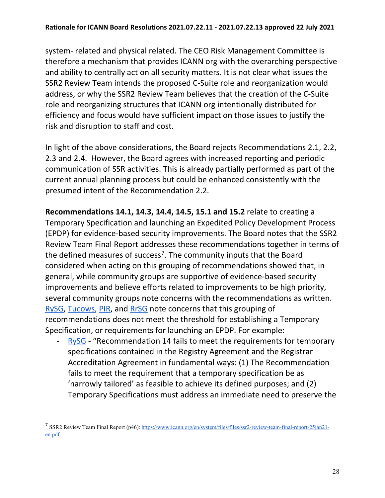system- related and physical related. The CEO Risk Management Committee is therefore a mechanism that provides ICANN org with the overarching perspective and ability to centrally act on all security matters. It is not clear what issues the SSR2 Review Team intends the proposed C-Suite role and reorganization would address, or why the SSR2 Review Team believes that the creation of the C-Suite role and reorganizing structures that ICANN org intentionally distributed for efficiency and focus would have sufficient impact on those issues to justify the risk and disruption to staff and cost.

In light of the above considerations, the Board rejects Recommendations 2.1, 2.2, 2.3 and 2.4. However, the Board agrees with increased reporting and periodic communication of SSR activities. This is already partially performed as part of the current annual planning process but could be enhanced consistently with the presumed intent of the Recommendation 2.2.

**Recommendations 14.1, 14.3, 14.4, 14.5, 15.1 and 15.2** relate to creating a Temporary Specification and launching an Expedited Policy Development Process (EPDP) for evidence-based security improvements. The Board notes that the SSR2 Review Team Final Report addresses these recommendations together in terms of the defined measures of success<sup>[7](#page-27-0)</sup>. The community inputs that the Board considered when acting on this grouping of recommendations showed that, in general, while community groups are supportive of evidence-based security improvements and believe efforts related to improvements to be high priority, several community groups note concerns with the recommendations as written. [RySG,](https://mm.icann.org/pipermail/comments-ssr2-final-report-28jan21/attachments/20210309/de99b585/RySG_comment_Second_Security_Stability_and_Resiliency_SSR2_Review_Team_Final_Report_March-2021.pdf) [Tucows,](https://mm.icann.org/pipermail/comments-ssr2-final-report-28jan21/attachments/20210408/4a9e8b3b/TucowsRegistrarFamilySSR2Response.pdf) [PIR,](https://mm.icann.org/pipermail/comments-ssr2-final-report-28jan21/attachments/20210310/51a93382/PIRCommentontheSecondSSR2FinalReport.pdf) and [RrSG](https://mm.icann.org/pipermail/comments-ssr2-final-report-28jan21/attachments/20210409/266a750a/ssr2-review-team-final-report-recommendations-ForRrSGfinal.pdf) note concerns that this grouping of recommendations does not meet the threshold for establishing a Temporary Specification, or requirements for launching an EPDP. For example:

[RySG](https://mm.icann.org/pipermail/comments-ssr2-final-report-28jan21/attachments/20210309/de99b585/RySG_comment_Second_Security_Stability_and_Resiliency_SSR2_Review_Team_Final_Report_March-2021.pdf) - "Recommendation 14 fails to meet the requirements for temporary specifications contained in the Registry Agreement and the Registrar Accreditation Agreement in fundamental ways: (1) The Recommendation fails to meet the requirement that a temporary specification be as 'narrowly tailored' as feasible to achieve its defined purposes; and (2) Temporary Specifications must address an immediate need to preserve the

<span id="page-27-0"></span><sup>7</sup> SSR2 Review Team Final Report (p46)[: https://www.icann.org/en/system/files/files/ssr2-review-team-final-report-25jan21](https://www.icann.org/en/system/files/files/ssr2-review-team-final-report-25jan21-en.pdf) [en.pdf](https://www.icann.org/en/system/files/files/ssr2-review-team-final-report-25jan21-en.pdf)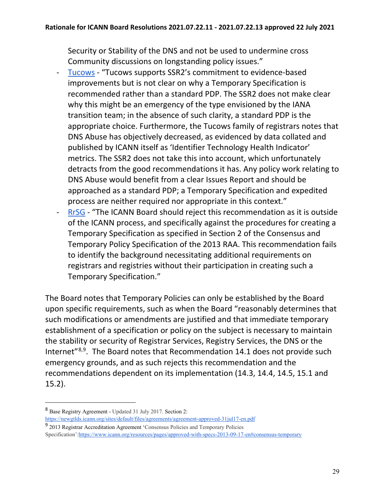Security or Stability of the DNS and not be used to undermine cross Community discussions on longstanding policy issues."

- [Tucows](https://mm.icann.org/pipermail/comments-ssr2-final-report-28jan21/attachments/20210408/4a9e8b3b/TucowsRegistrarFamilySSR2Response.pdf)  "Tucows supports SSR2's commitment to evidence-based improvements but is not clear on why a Temporary Specification is recommended rather than a standard PDP. The SSR2 does not make clear why this might be an emergency of the type envisioned by the IANA transition team; in the absence of such clarity, a standard PDP is the appropriate choice. Furthermore, the Tucows family of registrars notes that DNS Abuse has objectively decreased, as evidenced by data collated and published by ICANN itself as 'Identifier Technology Health Indicator' metrics. The SSR2 does not take this into account, which unfortunately detracts from the good recommendations it has. Any policy work relating to DNS Abuse would benefit from a clear Issues Report and should be approached as a standard PDP; a Temporary Specification and expedited process are neither required nor appropriate in this context."
- [RrSG](https://mm.icann.org/pipermail/comments-ssr2-final-report-28jan21/attachments/20210409/266a750a/ssr2-review-team-final-report-recommendations-ForRrSGfinal.pdf)  "The ICANN Board should reject this recommendation as it is outside of the ICANN process, and specifically against the procedures for creating a Temporary Specification as specified in Section 2 of the Consensus and Temporary Policy Specification of the 2013 RAA. This recommendation fails to identify the background necessitating additional requirements on registrars and registries without their participation in creating such a Temporary Specification."

The Board notes that Temporary Policies can only be established by the Board upon specific requirements, such as when the Board "reasonably determines that such modifications or amendments are justified and that immediate temporary establishment of a specification or policy on the subject is necessary to maintain the stability or security of Registrar Services, Registry Services, the DNS or the Internet<sup>"[8](#page-28-0),9</sup>. The Board notes that Recommendation 14.1 does not provide such emergency grounds, and as such rejects this recommendation and the recommendations dependent on its implementation (14.3, 14.4, 14.5, 15.1 and 15.2).

<span id="page-28-0"></span><sup>8</sup> Base Registry Agreement - Updated 31 July 2017. Section 2: <https://newgtlds.icann.org/sites/default/files/agreements/agreement-approved-31jul17-en.pdf>

<span id="page-28-1"></span><sup>9</sup> 2013 Registrar Accreditation Agreement 'Consensus Policies and Temporary Policies Specification'[:https://www.icann.org/resources/pages/approved-with-specs-2013-09-17-en#consensus-temporary](https://www.icann.org/resources/pages/approved-with-specs-2013-09-17-en#consensus-temporary)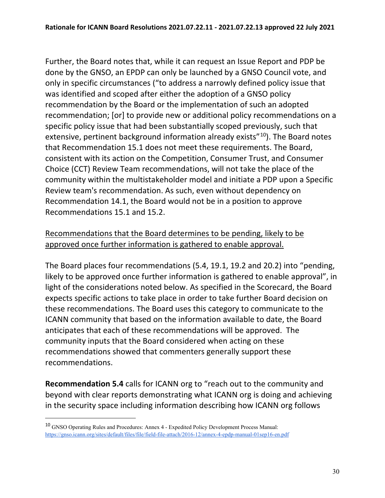Further, the Board notes that, while it can request an Issue Report and PDP be done by the GNSO, an EPDP can only be launched by a GNSO Council vote, and only in specific circumstances ("to address a narrowly defined policy issue that was identified and scoped after either the adoption of a GNSO policy recommendation by the Board or the implementation of such an adopted recommendation; [or] to provide new or additional policy recommendations on a specific policy issue that had been substantially scoped previously, such that extensive, pertinent background information already exists<sup>"[10](#page-29-0)</sup>). The Board notes that Recommendation 15.1 does not meet these requirements. The Board, consistent with its action on the Competition, Consumer Trust, and Consumer Choice (CCT) Review Team recommendations, will not take the place of the community within the multistakeholder model and initiate a PDP upon a Specific Review team's recommendation. As such, even without dependency on Recommendation 14.1, the Board would not be in a position to approve Recommendations 15.1 and 15.2.

### Recommendations that the Board determines to be pending, likely to be approved once further information is gathered to enable approval.

The Board places four recommendations (5.4, 19.1, 19.2 and 20.2) into "pending, likely to be approved once further information is gathered to enable approval", in light of the considerations noted below. As specified in the Scorecard, the Board expects specific actions to take place in order to take further Board decision on these recommendations. The Board uses this category to communicate to the ICANN community that based on the information available to date, the Board anticipates that each of these recommendations will be approved. The community inputs that the Board considered when acting on these recommendations showed that commenters generally support these recommendations.

**Recommendation 5.4** calls for ICANN org to "reach out to the community and beyond with clear reports demonstrating what ICANN org is doing and achieving in the security space including information describing how ICANN org follows

<span id="page-29-0"></span><sup>10</sup> GNSO Operating Rules and Procedures: Annex 4 - Expedited Policy Development Process Manual: <https://gnso.icann.org/sites/default/files/file/field-file-attach/2016-12/annex-4-epdp-manual-01sep16-en.pdf>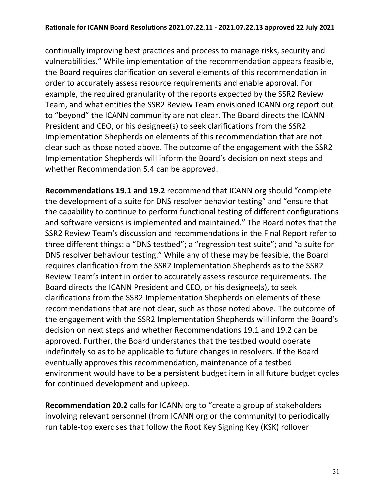continually improving best practices and process to manage risks, security and vulnerabilities." While implementation of the recommendation appears feasible, the Board requires clarification on several elements of this recommendation in order to accurately assess resource requirements and enable approval. For example, the required granularity of the reports expected by the SSR2 Review Team, and what entities the SSR2 Review Team envisioned ICANN org report out to "beyond" the ICANN community are not clear. The Board directs the ICANN President and CEO, or his designee(s) to seek clarifications from the SSR2 Implementation Shepherds on elements of this recommendation that are not clear such as those noted above. The outcome of the engagement with the SSR2 Implementation Shepherds will inform the Board's decision on next steps and whether Recommendation 5.4 can be approved.

**Recommendations 19.1 and 19.2** recommend that ICANN org should "complete the development of a suite for DNS resolver behavior testing" and "ensure that the capability to continue to perform functional testing of different configurations and software versions is implemented and maintained." The Board notes that the SSR2 Review Team's discussion and recommendations in the Final Report refer to three different things: a "DNS testbed"; a "regression test suite"; and "a suite for DNS resolver behaviour testing." While any of these may be feasible, the Board requires clarification from the SSR2 Implementation Shepherds as to the SSR2 Review Team's intent in order to accurately assess resource requirements. The Board directs the ICANN President and CEO, or his designee(s), to seek clarifications from the SSR2 Implementation Shepherds on elements of these recommendations that are not clear, such as those noted above. The outcome of the engagement with the SSR2 Implementation Shepherds will inform the Board's decision on next steps and whether Recommendations 19.1 and 19.2 can be approved. Further, the Board understands that the testbed would operate indefinitely so as to be applicable to future changes in resolvers. If the Board eventually approves this recommendation, maintenance of a testbed environment would have to be a persistent budget item in all future budget cycles for continued development and upkeep.

**Recommendation 20.2** calls for ICANN org to "create a group of stakeholders involving relevant personnel (from ICANN org or the community) to periodically run table-top exercises that follow the Root Key Signing Key (KSK) rollover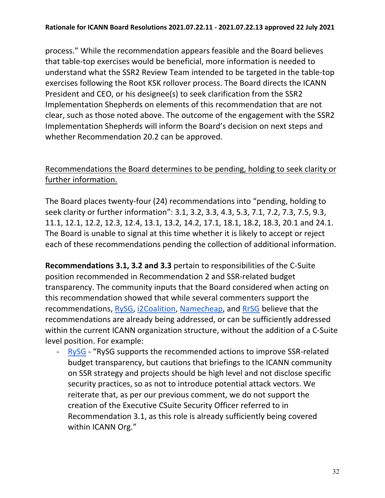process." While the recommendation appears feasible and the Board believes that table-top exercises would be beneficial, more information is needed to understand what the SSR2 Review Team intended to be targeted in the table-top exercises following the Root KSK rollover process. The Board directs the ICANN President and CEO, or his designee(s) to seek clarification from the SSR2 Implementation Shepherds on elements of this recommendation that are not clear, such as those noted above. The outcome of the engagement with the SSR2 Implementation Shepherds will inform the Board's decision on next steps and whether Recommendation 20.2 can be approved.

# Recommendations the Board determines to be pending, holding to seek clarity or further information.

The Board places twenty-four (24) recommendations into "pending, holding to seek clarity or further information": 3.1, 3.2, 3.3, 4.3, 5.3, 7.1, 7.2, 7.3, 7.5, 9.3, 11.1, 12.1, 12.2, 12.3, 12.4, 13.1, 13.2, 14.2, 17.1, 18.1, 18.2, 18.3, 20.1 and 24.1. The Board is unable to signal at this time whether it is likely to accept or reject each of these recommendations pending the collection of additional information.

**Recommendations 3.1, 3.2 and 3.3** pertain to responsibilities of the C-Suite position recommended in Recommendation 2 and SSR-related budget transparency. The community inputs that the Board considered when acting on this recommendation showed that while several commenters support the recommendations, [RySG,](https://mm.icann.org/pipermail/comments-ssr2-final-report-28jan21/attachments/20210309/de99b585/RySG_comment_Second_Security_Stability_and_Resiliency_SSR2_Review_Team_Final_Report_March-2021.pdf) [i2Coalition,](https://mm.icann.org/pipermail/comments-ssr2-final-report-28jan21/attachments/20210408/09a32842/i2CoalitioncommentforSSR2.pdf) [Namecheap,](https://mm.icann.org/pipermail/comments-ssr2-final-report-28jan21/attachments/20210408/73b5d8e7/Namecheap-SSR2FinalReportcomment.pdf) and [RrSG](https://mm.icann.org/pipermail/comments-ssr2-final-report-28jan21/attachments/20210409/266a750a/ssr2-review-team-final-report-recommendations-ForRrSGfinal.pdf) believe that the recommendations are already being addressed, or can be sufficiently addressed within the current ICANN organization structure, without the addition of a C-Suite level position. For example:

- [RySG](https://mm.icann.org/pipermail/comments-ssr2-final-report-28jan21/attachments/20210309/de99b585/RySG_comment_Second_Security_Stability_and_Resiliency_SSR2_Review_Team_Final_Report_March-2021.pdf) - "RySG supports the recommended actions to improve SSR-related budget transparency, but cautions that briefings to the ICANN community on SSR strategy and projects should be high level and not disclose specific security practices, so as not to introduce potential attack vectors. We reiterate that, as per our previous comment, we do not support the creation of the Executive CSuite Security Officer referred to in Recommendation 3.1, as this role is already sufficiently being covered within ICANN Org."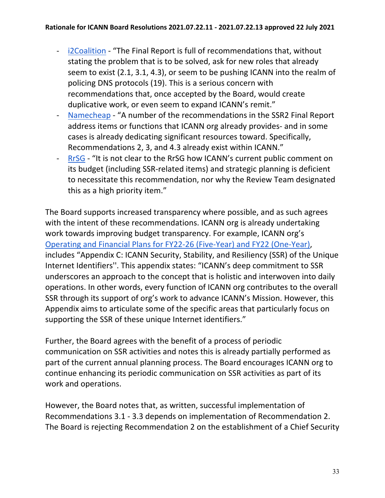- [i2Coalition](https://mm.icann.org/pipermail/comments-ssr2-final-report-28jan21/attachments/20210408/09a32842/i2CoalitioncommentforSSR2.pdf)  "The Final Report is full of recommendations that, without stating the problem that is to be solved, ask for new roles that already seem to exist (2.1, 3.1, 4.3), or seem to be pushing ICANN into the realm of policing DNS protocols (19). This is a serious concern with recommendations that, once accepted by the Board, would create duplicative work, or even seem to expand ICANN's remit."
- [Namecheap](https://mm.icann.org/pipermail/comments-ssr2-final-report-28jan21/attachments/20210408/73b5d8e7/Namecheap-SSR2FinalReportcomment.pdf)  "A number of the recommendations in the SSR2 Final Report address items or functions that ICANN org already provides- and in some cases is already dedicating significant resources toward. Specifically, Recommendations 2, 3, and 4.3 already exist within ICANN."
- [RrSG](https://mm.icann.org/pipermail/comments-ssr2-final-report-28jan21/attachments/20210409/266a750a/ssr2-review-team-final-report-recommendations-ForRrSGfinal.pdf)  "It is not clear to the RrSG how ICANN's current public comment on its budget (including SSR-related items) and strategic planning is deficient to necessitate this recommendation, nor why the Review Team designated this as a high priority item."

The Board supports increased transparency where possible, and as such agrees with the intent of these recommendations. ICANN org is already undertaking work towards improving budget transparency. For example, ICANN org's [Operating and Financial Plans for FY22-26 \(Five-Year\) and FY22 \(One-Year\),](https://www.icann.org/en/system/files/files/op-financial-plan-fy22-26-opplan-fy22-2021-en.pdf) includes "Appendix C: ICANN Security, Stability, and Resiliency (SSR) of the Unique Internet Identifiers''. This appendix states: "ICANN's deep commitment to SSR underscores an approach to the concept that is holistic and interwoven into daily operations. In other words, every function of ICANN org contributes to the overall SSR through its support of org's work to advance ICANN's Mission. However, this Appendix aims to articulate some of the specific areas that particularly focus on supporting the SSR of these unique Internet identifiers."

Further, the Board agrees with the benefit of a process of periodic communication on SSR activities and notes this is already partially performed as part of the current annual planning process. The Board encourages ICANN org to continue enhancing its periodic communication on SSR activities as part of its work and operations.

However, the Board notes that, as written, successful implementation of Recommendations 3.1 - 3.3 depends on implementation of Recommendation 2. The Board is rejecting Recommendation 2 on the establishment of a Chief Security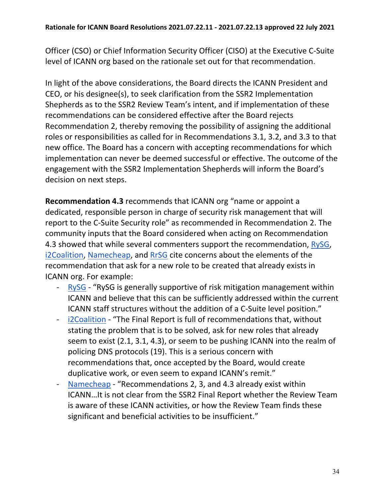Officer (CSO) or Chief Information Security Officer (CISO) at the Executive C-Suite level of ICANN org based on the rationale set out for that recommendation.

In light of the above considerations, the Board directs the ICANN President and CEO, or his designee(s), to seek clarification from the SSR2 Implementation Shepherds as to the SSR2 Review Team's intent, and if implementation of these recommendations can be considered effective after the Board rejects Recommendation 2, thereby removing the possibility of assigning the additional roles or responsibilities as called for in Recommendations 3.1, 3.2, and 3.3 to that new office. The Board has a concern with accepting recommendations for which implementation can never be deemed successful or effective. The outcome of the engagement with the SSR2 Implementation Shepherds will inform the Board's decision on next steps.

**Recommendation 4.3** recommends that ICANN org "name or appoint a dedicated, responsible person in charge of security risk management that will report to the C-Suite Security role" as recommended in Recommendation 2. The community inputs that the Board considered when acting on Recommendation 4.3 showed that while several commenters support the recommendation, [RySG,](https://mm.icann.org/pipermail/comments-ssr2-final-report-28jan21/attachments/20210309/de99b585/RySG_comment_Second_Security_Stability_and_Resiliency_SSR2_Review_Team_Final_Report_March-2021.pdf) [i2Coalition,](https://mm.icann.org/pipermail/comments-ssr2-final-report-28jan21/attachments/20210408/09a32842/i2CoalitioncommentforSSR2.pdf) [Namecheap,](https://mm.icann.org/pipermail/comments-ssr2-final-report-28jan21/attachments/20210408/73b5d8e7/Namecheap-SSR2FinalReportcomment.pdf) and [RrSG](https://mm.icann.org/pipermail/comments-ssr2-final-report-28jan21/attachments/20210409/266a750a/ssr2-review-team-final-report-recommendations-ForRrSGfinal.pdf) cite concerns about the elements of the recommendation that ask for a new role to be created that already exists in ICANN org. For example:

- [RySG](https://mm.icann.org/pipermail/comments-ssr2-final-report-28jan21/attachments/20210309/de99b585/RySG_comment_Second_Security_Stability_and_Resiliency_SSR2_Review_Team_Final_Report_March-2021.pdf)  "RySG is generally supportive of risk mitigation management within ICANN and believe that this can be sufficiently addressed within the current ICANN staff structures without the addition of a C-Suite level position."
- [i2Coalition](https://mm.icann.org/pipermail/comments-ssr2-final-report-28jan21/attachments/20210408/09a32842/i2CoalitioncommentforSSR2.pdf)  "The Final Report is full of recommendations that, without stating the problem that is to be solved, ask for new roles that already seem to exist (2.1, 3.1, 4.3), or seem to be pushing ICANN into the realm of policing DNS protocols (19). This is a serious concern with recommendations that, once accepted by the Board, would create duplicative work, or even seem to expand ICANN's remit."
- [Namecheap](https://mm.icann.org/pipermail/comments-ssr2-final-report-28jan21/attachments/20210408/73b5d8e7/Namecheap-SSR2FinalReportcomment.pdf)  "Recommendations 2, 3, and 4.3 already exist within ICANN…It is not clear from the SSR2 Final Report whether the Review Team is aware of these ICANN activities, or how the Review Team finds these significant and beneficial activities to be insufficient."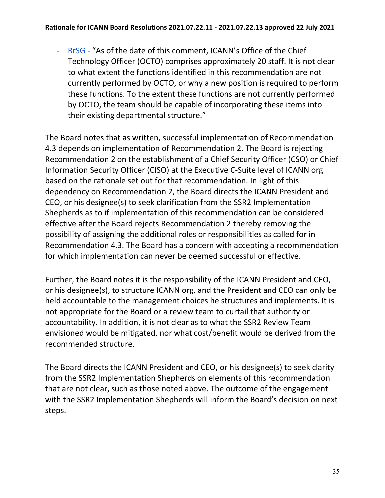- [RrSG](https://mm.icann.org/pipermail/comments-ssr2-final-report-28jan21/attachments/20210409/266a750a/ssr2-review-team-final-report-recommendations-ForRrSGfinal.pdf) - "As of the date of this comment, ICANN's Office of the Chief Technology Officer (OCTO) comprises approximately 20 staff. It is not clear to what extent the functions identified in this recommendation are not currently performed by OCTO, or why a new position is required to perform these functions. To the extent these functions are not currently performed by OCTO, the team should be capable of incorporating these items into their existing departmental structure."

The Board notes that as written, successful implementation of Recommendation 4.3 depends on implementation of Recommendation 2. The Board is rejecting Recommendation 2 on the establishment of a Chief Security Officer (CSO) or Chief Information Security Officer (CISO) at the Executive C-Suite level of ICANN org based on the rationale set out for that recommendation. In light of this dependency on Recommendation 2, the Board directs the ICANN President and CEO, or his designee(s) to seek clarification from the SSR2 Implementation Shepherds as to if implementation of this recommendation can be considered effective after the Board rejects Recommendation 2 thereby removing the possibility of assigning the additional roles or responsibilities as called for in Recommendation 4.3. The Board has a concern with accepting a recommendation for which implementation can never be deemed successful or effective.

Further, the Board notes it is the responsibility of the ICANN President and CEO, or his designee(s), to structure ICANN org, and the President and CEO can only be held accountable to the management choices he structures and implements. It is not appropriate for the Board or a review team to curtail that authority or accountability. In addition, it is not clear as to what the SSR2 Review Team envisioned would be mitigated, nor what cost/benefit would be derived from the recommended structure.

The Board directs the ICANN President and CEO, or his designee(s) to seek clarity from the SSR2 Implementation Shepherds on elements of this recommendation that are not clear, such as those noted above. The outcome of the engagement with the SSR2 Implementation Shepherds will inform the Board's decision on next steps.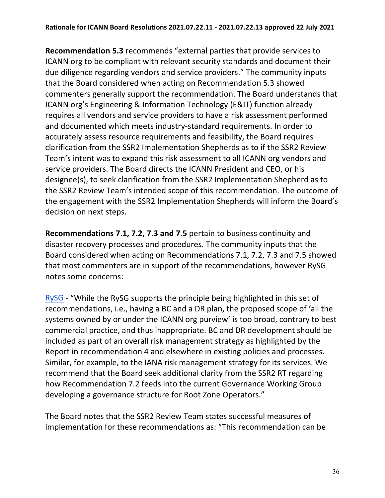**Recommendation 5.3** recommends "external parties that provide services to ICANN org to be compliant with relevant security standards and document their due diligence regarding vendors and service providers." The community inputs that the Board considered when acting on Recommendation 5.3 showed commenters generally support the recommendation. The Board understands that ICANN org's Engineering & Information Technology (E&IT) function already requires all vendors and service providers to have a risk assessment performed and documented which meets industry-standard requirements. In order to accurately assess resource requirements and feasibility, the Board requires clarification from the SSR2 Implementation Shepherds as to if the SSR2 Review Team's intent was to expand this risk assessment to all ICANN org vendors and service providers. The Board directs the ICANN President and CEO, or his designee(s), to seek clarification from the SSR2 Implementation Shepherd as to the SSR2 Review Team's intended scope of this recommendation. The outcome of the engagement with the SSR2 Implementation Shepherds will inform the Board's decision on next steps.

**Recommendations 7.1, 7.2, 7.3 and 7.5** pertain to business continuity and disaster recovery processes and procedures. The community inputs that the Board considered when acting on Recommendations 7.1, 7.2, 7.3 and 7.5 showed that most commenters are in support of the recommendations, however RySG notes some concerns:

[RySG](https://mm.icann.org/pipermail/comments-ssr2-final-report-28jan21/attachments/20210309/de99b585/RySG_comment_Second_Security_Stability_and_Resiliency_SSR2_Review_Team_Final_Report_March-2021.pdf) - "While the RySG supports the principle being highlighted in this set of recommendations, i.e., having a BC and a DR plan, the proposed scope of 'all the systems owned by or under the ICANN org purview' is too broad, contrary to best commercial practice, and thus inappropriate. BC and DR development should be included as part of an overall risk management strategy as highlighted by the Report in recommendation 4 and elsewhere in existing policies and processes. Similar, for example, to the IANA risk management strategy for its services. We recommend that the Board seek additional clarity from the SSR2 RT regarding how Recommendation 7.2 feeds into the current Governance Working Group developing a governance structure for Root Zone Operators."

The Board notes that the SSR2 Review Team states successful measures of implementation for these recommendations as: "This recommendation can be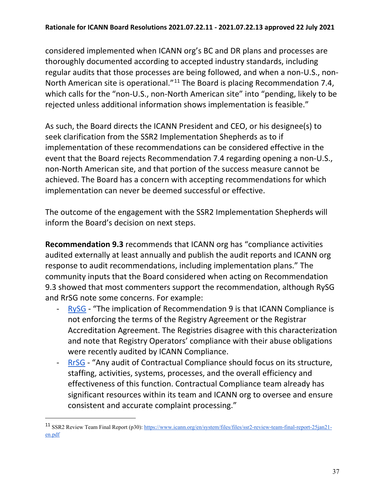considered implemented when ICANN org's BC and DR plans and processes are thoroughly documented according to accepted industry standards, including regular audits that those processes are being followed, and when a non-U.S., non-North American site is operational."[11](#page-36-0) The Board is placing Recommendation 7.4, which calls for the "non-U.S., non-North American site" into "pending, likely to be rejected unless additional information shows implementation is feasible."

As such, the Board directs the ICANN President and CEO, or his designee(s) to seek clarification from the SSR2 Implementation Shepherds as to if implementation of these recommendations can be considered effective in the event that the Board rejects Recommendation 7.4 regarding opening a non-U.S., non-North American site, and that portion of the success measure cannot be achieved. The Board has a concern with accepting recommendations for which implementation can never be deemed successful or effective.

The outcome of the engagement with the SSR2 Implementation Shepherds will inform the Board's decision on next steps.

**Recommendation 9.3** recommends that ICANN org has "compliance activities audited externally at least annually and publish the audit reports and ICANN org response to audit recommendations, including implementation plans." The community inputs that the Board considered when acting on Recommendation 9.3 showed that most commenters support the recommendation, although RySG and RrSG note some concerns. For example:

- [RySG](https://mm.icann.org/pipermail/comments-ssr2-final-report-28jan21/attachments/20210309/de99b585/RySG_comment_Second_Security_Stability_and_Resiliency_SSR2_Review_Team_Final_Report_March-2021.pdf)  "The implication of Recommendation 9 is that ICANN Compliance is not enforcing the terms of the Registry Agreement or the Registrar Accreditation Agreement. The Registries disagree with this characterization and note that Registry Operators' compliance with their abuse obligations were recently audited by ICANN Compliance.
- [RrSG](https://mm.icann.org/pipermail/comments-ssr2-final-report-28jan21/attachments/20210409/266a750a/ssr2-review-team-final-report-recommendations-ForRrSGfinal.pdf)  "Any audit of Contractual Compliance should focus on its structure, staffing, activities, systems, processes, and the overall efficiency and effectiveness of this function. Contractual Compliance team already has significant resources within its team and ICANN org to oversee and ensure consistent and accurate complaint processing."

<span id="page-36-0"></span><sup>11</sup> SSR2 Review Team Final Report (p30)[: https://www.icann.org/en/system/files/files/ssr2-review-team-final-report-25jan21](https://www.icann.org/en/system/files/files/ssr2-review-team-final-report-25jan21-en.pdf) [en.pdf](https://www.icann.org/en/system/files/files/ssr2-review-team-final-report-25jan21-en.pdf)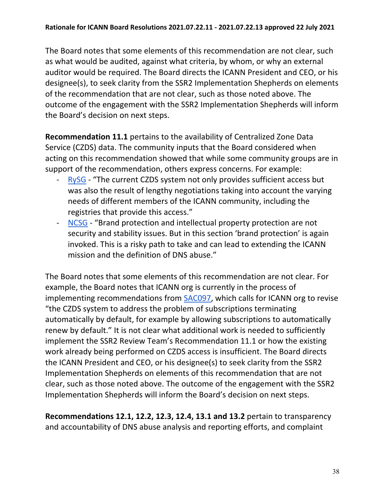The Board notes that some elements of this recommendation are not clear, such as what would be audited, against what criteria, by whom, or why an external auditor would be required. The Board directs the ICANN President and CEO, or his designee(s), to seek clarity from the SSR2 Implementation Shepherds on elements of the recommendation that are not clear, such as those noted above. The outcome of the engagement with the SSR2 Implementation Shepherds will inform the Board's decision on next steps.

**Recommendation 11.1** pertains to the availability of Centralized Zone Data Service (CZDS) data. The community inputs that the Board considered when acting on this recommendation showed that while some community groups are in support of the recommendation, others express concerns. For example:

- [RySG](https://mm.icann.org/pipermail/comments-ssr2-final-report-28jan21/attachments/20210309/de99b585/RySG_comment_Second_Security_Stability_and_Resiliency_SSR2_Review_Team_Final_Report_March-2021.pdf)  "The current CZDS system not only provides sufficient access but was also the result of lengthy negotiations taking into account the varying needs of different members of the ICANN community, including the registries that provide this access."
- [NCSG](https://mm.icann.org/pipermail/comments-ssr2-final-report-28jan21/attachments/20210409/3ff95763/NCSGComment-SecondSecurityStabilityandResiliencySSR2ReviewTeamFinalReport.pdf)  "Brand protection and intellectual property protection are not security and stability issues. But in this section 'brand protection' is again invoked. This is a risky path to take and can lead to extending the ICANN mission and the definition of DNS abuse."

The Board notes that some elements of this recommendation are not clear. For example, the Board notes that ICANN org is currently in the process of implementing recommendations from [SAC097,](https://www.icann.org/en/system/files/files/sac-097-en.pdf) which calls for ICANN org to revise "the CZDS system to address the problem of subscriptions terminating automatically by default, for example by allowing subscriptions to automatically renew by default." It is not clear what additional work is needed to sufficiently implement the SSR2 Review Team's Recommendation 11.1 or how the existing work already being performed on CZDS access is insufficient. The Board directs the ICANN President and CEO, or his designee(s) to seek clarity from the SSR2 Implementation Shepherds on elements of this recommendation that are not clear, such as those noted above. The outcome of the engagement with the SSR2 Implementation Shepherds will inform the Board's decision on next steps.

**Recommendations 12.1, 12.2, 12.3, 12.4, 13.1 and 13.2** pertain to transparency and accountability of DNS abuse analysis and reporting efforts, and complaint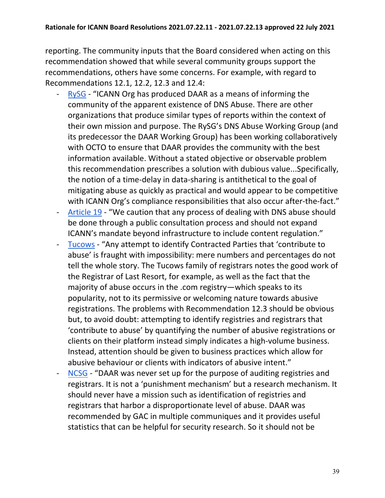reporting. The community inputs that the Board considered when acting on this recommendation showed that while several community groups support the recommendations, others have some concerns. For example, with regard to Recommendations 12.1, 12.2, 12.3 and 12.4:

- [RySG](https://mm.icann.org/pipermail/comments-ssr2-final-report-28jan21/attachments/20210309/de99b585/RySG_comment_Second_Security_Stability_and_Resiliency_SSR2_Review_Team_Final_Report_March-2021.pdf)  "ICANN Org has produced DAAR as a means of informing the community of the apparent existence of DNS Abuse. There are other organizations that produce similar types of reports within the context of their own mission and purpose. The RySG's DNS Abuse Working Group (and its predecessor the DAAR Working Group) has been working collaboratively with OCTO to ensure that DAAR provides the community with the best information available. Without a stated objective or observable problem this recommendation prescribes a solution with dubious value...Specifically, the notion of a time-delay in data-sharing is antithetical to the goal of mitigating abuse as quickly as practical and would appear to be competitive with ICANN Org's compliance responsibilities that also occur after-the-fact."
- [Article 19](https://mm.icann.org/pipermail/comments-ssr2-final-report-28jan21/attachments/20210408/f39fe225/A19DraftPublicCommentsICANNSecondSecurityStabilityandResiliencySSR2ReviewTeamFinalReportV1.0.pdf)  "We caution that any process of dealing with DNS abuse should be done through a public consultation process and should not expand ICANN's mandate beyond infrastructure to include content regulation."
- [Tucows](https://mm.icann.org/pipermail/comments-ssr2-final-report-28jan21/attachments/20210408/4a9e8b3b/TucowsRegistrarFamilySSR2Response.pdf)  "Any attempt to identify Contracted Parties that 'contribute to abuse' is fraught with impossibility: mere numbers and percentages do not tell the whole story. The Tucows family of registrars notes the good work of the Registrar of Last Resort, for example, as well as the fact that the majority of abuse occurs in the .com registry—which speaks to its popularity, not to its permissive or welcoming nature towards abusive registrations. The problems with Recommendation 12.3 should be obvious but, to avoid doubt: attempting to identify registries and registrars that 'contribute to abuse' by quantifying the number of abusive registrations or clients on their platform instead simply indicates a high-volume business. Instead, attention should be given to business practices which allow for abusive behaviour or clients with indicators of abusive intent."
- [NCSG](https://mm.icann.org/pipermail/comments-ssr2-final-report-28jan21/attachments/20210409/3ff95763/NCSGComment-SecondSecurityStabilityandResiliencySSR2ReviewTeamFinalReport.pdf)  "DAAR was never set up for the purpose of auditing registries and registrars. It is not a 'punishment mechanism' but a research mechanism. It should never have a mission such as identification of registries and registrars that harbor a disproportionate level of abuse. DAAR was recommended by GAC in multiple communiques and it provides useful statistics that can be helpful for security research. So it should not be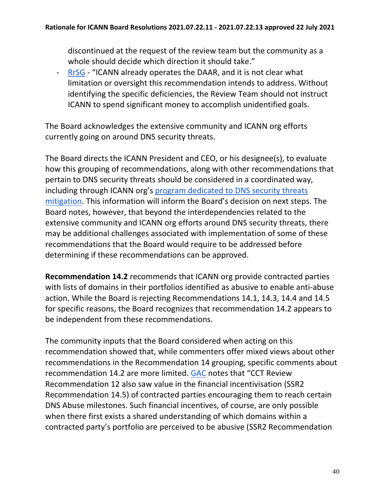discontinued at the request of the review team but the community as a whole should decide which direction it should take."

[RrSG](https://mm.icann.org/pipermail/comments-ssr2-final-report-28jan21/attachments/20210409/266a750a/ssr2-review-team-final-report-recommendations-ForRrSGfinal.pdf) - "ICANN already operates the DAAR, and it is not clear what limitation or oversight this recommendation intends to address. Without identifying the specific deficiencies, the Review Team should not instruct ICANN to spend significant money to accomplish unidentified goals.

The Board acknowledges the extensive community and ICANN org efforts currently going on around DNS security threats.

The Board directs the ICANN President and CEO, or his designee(s), to evaluate how this grouping of recommendations, along with other recommendations that pertain to DNS security threats should be considered in a coordinated way, including through ICANN org's [program dedicated to DNS security threats](https://www.icann.org/en/announcements/details/webinar-icann-dns-security-threat-mitigation-program-update-and-community-discussion-1-7-2021-en)  [mitigation.](https://www.icann.org/en/announcements/details/webinar-icann-dns-security-threat-mitigation-program-update-and-community-discussion-1-7-2021-en) This information will inform the Board's decision on next steps. The Board notes, however, that beyond the interdependencies related to the extensive community and ICANN org efforts around DNS security threats, there may be additional challenges associated with implementation of some of these recommendations that the Board would require to be addressed before determining if these recommendations can be approved.

**Recommendation 14.2** recommends that ICANN org provide contracted parties with lists of domains in their portfolios identified as abusive to enable anti-abuse action. While the Board is rejecting Recommendations 14.1, 14.3, 14.4 and 14.5 for specific reasons, the Board recognizes that recommendation 14.2 appears to be independent from these recommendations.

The community inputs that the Board considered when acting on this recommendation showed that, while commenters offer mixed views about other recommendations in the Recommendation 14 grouping, specific comments about recommendation 14.2 are more limited. [GAC](https://mm.icann.org/pipermail/comments-ssr2-final-report-28jan21/attachments/20210409/dbfca0b0/gac-comments-ssr2-review-final-report-8apr21.pdf) notes that "CCT Review Recommendation 12 also saw value in the financial incentivisation (SSR2 Recommendation 14.5) of contracted parties encouraging them to reach certain DNS Abuse milestones. Such financial incentives, of course, are only possible when there first exists a shared understanding of which domains within a contracted party's portfolio are perceived to be abusive (SSR2 Recommendation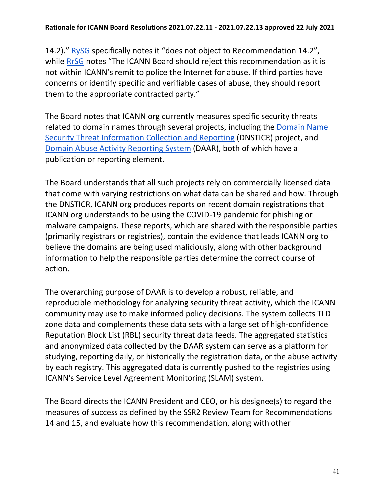14.2)." [RySG](https://mm.icann.org/pipermail/comments-ssr2-final-report-28jan21/attachments/20210309/de99b585/RySG_comment_Second_Security_Stability_and_Resiliency_SSR2_Review_Team_Final_Report_March-2021.pdf) specifically notes it "does not object to Recommendation 14.2", while [RrSG](https://mm.icann.org/pipermail/comments-ssr2-final-report-28jan21/attachments/20210409/266a750a/ssr2-review-team-final-report-recommendations-ForRrSGfinal.pdf) notes "The ICANN Board should reject this recommendation as it is not within ICANN's remit to police the Internet for abuse. If third parties have concerns or identify specific and verifiable cases of abuse, they should report them to the appropriate contracted party."

The Board notes that ICANN org currently measures specific security threats related to domain names through several projects, including the [Domain Name](https://www.icann.org/en/blogs/details/reporting-potential-pandemic-related-domains-1-5-2020-en)  [Security Threat Information Collection and Reporting](https://www.icann.org/en/blogs/details/reporting-potential-pandemic-related-domains-1-5-2020-en) (DNSTICR) project, and [Domain Abuse Activity Reporting System](https://www.icann.org/octo-ssr/daar) (DAAR), both of which have a publication or reporting element.

The Board understands that all such projects rely on commercially licensed data that come with varying restrictions on what data can be shared and how. Through the DNSTICR, ICANN org produces reports on recent domain registrations that ICANN org understands to be using the COVID-19 pandemic for phishing or malware campaigns. These reports, which are shared with the responsible parties (primarily registrars or registries), contain the evidence that leads ICANN org to believe the domains are being used maliciously, along with other background information to help the responsible parties determine the correct course of action.

The overarching purpose of DAAR is to develop a robust, reliable, and reproducible methodology for analyzing security threat activity, which the ICANN community may use to make informed policy decisions. The system collects TLD zone data and complements these data sets with a large set of high-confidence Reputation Block List (RBL) security threat data feeds. The aggregated statistics and anonymized data collected by the DAAR system can serve as a platform for studying, reporting daily, or historically the registration data, or the abuse activity by each registry. This aggregated data is currently pushed to the registries using ICANN's Service Level Agreement Monitoring (SLAM) system.

The Board directs the ICANN President and CEO, or his designee(s) to regard the measures of success as defined by the SSR2 Review Team for Recommendations 14 and 15, and evaluate how this recommendation, along with other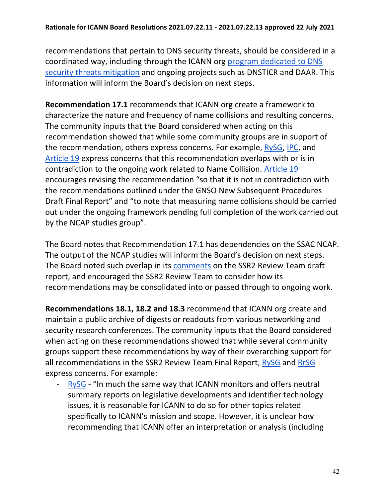recommendations that pertain to DNS security threats, should be considered in a coordinated way, including through the ICANN org [program dedicated to DNS](https://www.icann.org/en/announcements/details/webinar-icann-dns-security-threat-mitigation-program-update-and-community-discussion-1-7-2021-en)  [security threats mitigation](https://www.icann.org/en/announcements/details/webinar-icann-dns-security-threat-mitigation-program-update-and-community-discussion-1-7-2021-en) and ongoing projects such as DNSTICR and DAAR. This information will inform the Board's decision on next steps.

**Recommendation 17.1** recommends that ICANN org create a framework to characterize the nature and frequency of name collisions and resulting concerns. The community inputs that the Board considered when acting on this recommendation showed that while some community groups are in support of the recommendation, others express concerns. For example, [RySG,](https://mm.icann.org/pipermail/comments-ssr2-final-report-28jan21/attachments/20210309/de99b585/RySG_comment_Second_Security_Stability_and_Resiliency_SSR2_Review_Team_Final_Report_March-2021.pdf) [IPC,](https://mm.icann.org/pipermail/comments-ssr2-final-report-28jan21/2021q2/000015.html) and [Article 19](https://mm.icann.org/pipermail/comments-ssr2-final-report-28jan21/attachments/20210408/f39fe225/A19DraftPublicCommentsICANNSecondSecurityStabilityandResiliencySSR2ReviewTeamFinalReportV1.0.pdf) express concerns that this recommendation overlaps with or is in contradiction to the ongoing work related to Name Collision. [Article 19](https://mm.icann.org/pipermail/comments-ssr2-final-report-28jan21/attachments/20210408/f39fe225/A19DraftPublicCommentsICANNSecondSecurityStabilityandResiliencySSR2ReviewTeamFinalReportV1.0.pdf) encourages revising the recommendation "so that it is not in contradiction with the recommendations outlined under the GNSO New Subsequent Procedures Draft Final Report" and "to note that measuring name collisions should be carried out under the ongoing framework pending full completion of the work carried out by the NCAP studies group".

The Board notes that Recommendation 17.1 has dependencies on the SSAC NCAP. The output of the NCAP studies will inform the Board's decision on next steps. The Board noted such overlap in its [comments](https://mm.icann.org/pipermail/comments-ssr2-rt-draft-report-24jan20/attachments/20200320/d0e1d821/03.20.20BoardPCSubmissionFINAL-0001.pdf) on the SSR2 Review Team draft report, and encouraged the SSR2 Review Team to consider how its recommendations may be consolidated into or passed through to ongoing work.

**Recommendations 18.1, 18.2 and 18.3** recommend that ICANN org create and maintain a public archive of digests or readouts from various networking and security research conferences. The community inputs that the Board considered when acting on these recommendations showed that while several community groups support these recommendations by way of their overarching support for all recommendations in the SSR2 Review Team Final Report, [RySG](https://mm.icann.org/pipermail/comments-ssr2-final-report-28jan21/attachments/20210309/de99b585/RySG_comment_Second_Security_Stability_and_Resiliency_SSR2_Review_Team_Final_Report_March-2021.pdf) and [RrSG](https://mm.icann.org/pipermail/comments-ssr2-final-report-28jan21/attachments/20210409/266a750a/ssr2-review-team-final-report-recommendations-ForRrSGfinal.pdf) express concerns. For example:

[RySG](https://mm.icann.org/pipermail/comments-ssr2-final-report-28jan21/attachments/20210309/de99b585/RySG_comment_Second_Security_Stability_and_Resiliency_SSR2_Review_Team_Final_Report_March-2021.pdf) - "In much the same way that ICANN monitors and offers neutral summary reports on legislative developments and identifier technology issues, it is reasonable for ICANN to do so for other topics related specifically to ICANN's mission and scope. However, it is unclear how recommending that ICANN offer an interpretation or analysis (including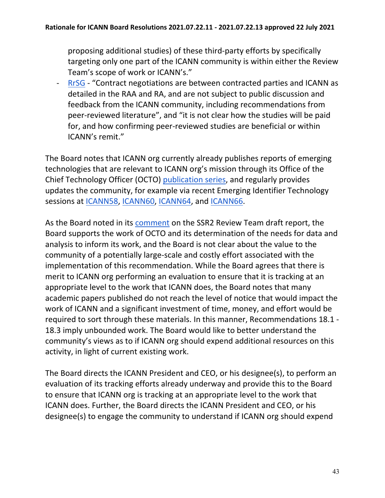proposing additional studies) of these third-party efforts by specifically targeting only one part of the ICANN community is within either the Review Team's scope of work or ICANN's."

- [RrSG](https://mm.icann.org/pipermail/comments-ssr2-final-report-28jan21/attachments/20210409/266a750a/ssr2-review-team-final-report-recommendations-ForRrSGfinal.pdf) - "Contract negotiations are between contracted parties and ICANN as detailed in the RAA and RA, and are not subject to public discussion and feedback from the ICANN community, including recommendations from peer-reviewed literature", and "it is not clear how the studies will be paid for, and how confirming peer-reviewed studies are beneficial or within ICANN's remit."

The Board notes that ICANN org currently already publishes reports of emerging technologies that are relevant to ICANN org's mission through its Office of the Chief Technology Officer (OCTO) [publication series,](https://www.icann.org/resources/pages/octo-publications-2019-05-24-en) and regularly provides updates the community, for example via recent Emerging Identifier Technology sessions at [ICANN58,](https://icann58copenhagen2017.sched.com/event/9nqD/emerging-identifiers-technology) [ICANN60,](https://icann60abudhabi2017.sched.com/event/CbFe/emerging-identifiers-technology) [ICANN64,](https://64.schedule.icann.org/meetings/961998) and [ICANN66.](https://66.schedule.icann.org/meetings/1116895)

As the Board noted in its [comment](https://mm.icann.org/pipermail/comments-ssr2-rt-draft-report-24jan20/attachments/20200320/d0e1d821/03.20.20BoardPCSubmissionFINAL-0001.pdf) on the SSR2 Review Team draft report, the Board supports the work of OCTO and its determination of the needs for data and analysis to inform its work, and the Board is not clear about the value to the community of a potentially large-scale and costly effort associated with the implementation of this recommendation. While the Board agrees that there is merit to ICANN org performing an evaluation to ensure that it is tracking at an appropriate level to the work that ICANN does, the Board notes that many academic papers published do not reach the level of notice that would impact the work of ICANN and a significant investment of time, money, and effort would be required to sort through these materials. In this manner, Recommendations 18.1 - 18.3 imply unbounded work. The Board would like to better understand the community's views as to if ICANN org should expend additional resources on this activity, in light of current existing work.

The Board directs the ICANN President and CEO, or his designee(s), to perform an evaluation of its tracking efforts already underway and provide this to the Board to ensure that ICANN org is tracking at an appropriate level to the work that ICANN does. Further, the Board directs the ICANN President and CEO, or his designee(s) to engage the community to understand if ICANN org should expend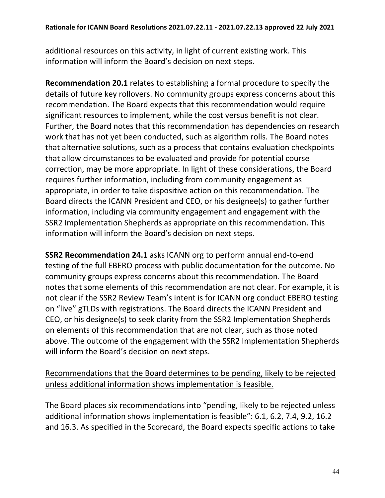additional resources on this activity, in light of current existing work. This information will inform the Board's decision on next steps.

**Recommendation 20.1** relates to establishing a formal procedure to specify the details of future key rollovers. No community groups express concerns about this recommendation. The Board expects that this recommendation would require significant resources to implement, while the cost versus benefit is not clear. Further, the Board notes that this recommendation has dependencies on research work that has not yet been conducted, such as algorithm rolls. The Board notes that alternative solutions, such as a process that contains evaluation checkpoints that allow circumstances to be evaluated and provide for potential course correction, may be more appropriate. In light of these considerations, the Board requires further information, including from community engagement as appropriate, in order to take dispositive action on this recommendation. The Board directs the ICANN President and CEO, or his designee(s) to gather further information, including via community engagement and engagement with the SSR2 Implementation Shepherds as appropriate on this recommendation. This information will inform the Board's decision on next steps.

**SSR2 Recommendation 24.1** asks ICANN org to perform annual end-to-end testing of the full EBERO process with public documentation for the outcome. No community groups express concerns about this recommendation. The Board notes that some elements of this recommendation are not clear. For example, it is not clear if the SSR2 Review Team's intent is for ICANN org conduct EBERO testing on "live" gTLDs with registrations. The Board directs the ICANN President and CEO, or his designee(s) to seek clarity from the SSR2 Implementation Shepherds on elements of this recommendation that are not clear, such as those noted above. The outcome of the engagement with the SSR2 Implementation Shepherds will inform the Board's decision on next steps.

Recommendations that the Board determines to be pending, likely to be rejected unless additional information shows implementation is feasible.

The Board places six recommendations into "pending, likely to be rejected unless additional information shows implementation is feasible": 6.1, 6.2, 7.4, 9.2, 16.2 and 16.3. As specified in the Scorecard, the Board expects specific actions to take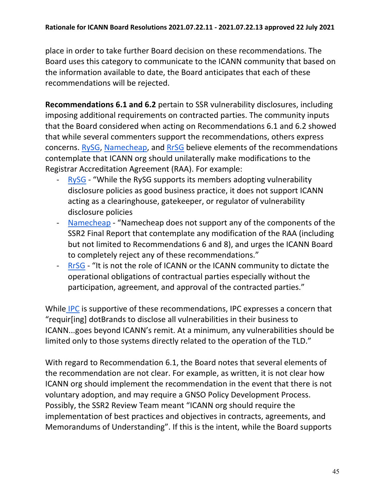place in order to take further Board decision on these recommendations. The Board uses this category to communicate to the ICANN community that based on the information available to date, the Board anticipates that each of these recommendations will be rejected.

**Recommendations 6.1 and 6.2** pertain to SSR vulnerability disclosures, including imposing additional requirements on contracted parties. The community inputs that the Board considered when acting on Recommendations 6.1 and 6.2 showed that while several commenters support the recommendations, others express concerns. [RySG,](https://mm.icann.org/pipermail/comments-ssr2-final-report-28jan21/attachments/20210309/de99b585/RySG_comment_Second_Security_Stability_and_Resiliency_SSR2_Review_Team_Final_Report_March-2021.pdf) [Namecheap,](https://mm.icann.org/pipermail/comments-ssr2-final-report-28jan21/attachments/20210408/73b5d8e7/Namecheap-SSR2FinalReportcomment.pdf) and [RrSG](https://mm.icann.org/pipermail/comments-ssr2-final-report-28jan21/attachments/20210409/266a750a/ssr2-review-team-final-report-recommendations-ForRrSGfinal.pdf) believe elements of the recommendations contemplate that ICANN org should unilaterally make modifications to the Registrar Accreditation Agreement (RAA). For example:

- [RySG](https://mm.icann.org/pipermail/comments-ssr2-final-report-28jan21/attachments/20210309/de99b585/RySG_comment_Second_Security_Stability_and_Resiliency_SSR2_Review_Team_Final_Report_March-2021.pdf)  "While the RySG supports its members adopting vulnerability disclosure policies as good business practice, it does not support ICANN acting as a clearinghouse, gatekeeper, or regulator of vulnerability disclosure policies
- [Namecheap](https://mm.icann.org/pipermail/comments-ssr2-final-report-28jan21/attachments/20210408/73b5d8e7/Namecheap-SSR2FinalReportcomment.pdf)  "Namecheap does not support any of the components of the SSR2 Final Report that contemplate any modification of the RAA (including but not limited to Recommendations 6 and 8), and urges the ICANN Board to completely reject any of these recommendations."
- [RrSG](https://mm.icann.org/pipermail/comments-ssr2-final-report-28jan21/attachments/20210409/266a750a/ssr2-review-team-final-report-recommendations-ForRrSGfinal.pdf)  "It is not the role of ICANN or the ICANN community to dictate the operational obligations of contractual parties especially without the participation, agreement, and approval of the contracted parties."

While [IPC](https://mm.icann.org/pipermail/comments-ssr2-final-report-28jan21/2021q2/000015.html) is supportive of these recommendations, IPC expresses a concern that "requir[ing] dotBrands to disclose all vulnerabilities in their business to ICANN...goes beyond ICANN's remit. At a minimum, any vulnerabilities should be limited only to those systems directly related to the operation of the TLD."

With regard to Recommendation 6.1, the Board notes that several elements of the recommendation are not clear. For example, as written, it is not clear how ICANN org should implement the recommendation in the event that there is not voluntary adoption, and may require a GNSO Policy Development Process. Possibly, the SSR2 Review Team meant "ICANN org should require the implementation of best practices and objectives in contracts, agreements, and Memorandums of Understanding". If this is the intent, while the Board supports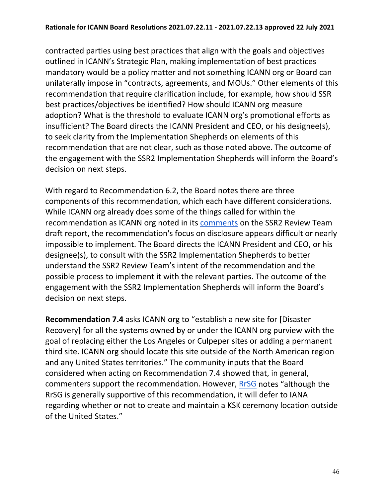contracted parties using best practices that align with the goals and objectives outlined in ICANN's Strategic Plan, making implementation of best practices mandatory would be a policy matter and not something ICANN org or Board can unilaterally impose in "contracts, agreements, and MOUs." Other elements of this recommendation that require clarification include, for example, how should SSR best practices/objectives be identified? How should ICANN org measure adoption? What is the threshold to evaluate ICANN org's promotional efforts as insufficient? The Board directs the ICANN President and CEO, or his designee(s), to seek clarity from the Implementation Shepherds on elements of this recommendation that are not clear, such as those noted above. The outcome of the engagement with the SSR2 Implementation Shepherds will inform the Board's decision on next steps.

With regard to Recommendation 6.2, the Board notes there are three components of this recommendation, which each have different considerations. While ICANN org already does some of the things called for within the recommendation as ICANN org noted in its [comments](https://mm.icann.org/pipermail/comments-ssr2-rt-draft-report-24jan20/attachments/20200327/775628ad/ICANNorgpubliccommentsubmissiononSSR2DraftReport-0001.pdf) on the SSR2 Review Team draft report, the recommendation's focus on disclosure appears difficult or nearly impossible to implement. The Board directs the ICANN President and CEO, or his designee(s), to consult with the SSR2 Implementation Shepherds to better understand the SSR2 Review Team's intent of the recommendation and the possible process to implement it with the relevant parties. The outcome of the engagement with the SSR2 Implementation Shepherds will inform the Board's decision on next steps.

**Recommendation 7.4** asks ICANN org to "establish a new site for [Disaster Recovery] for all the systems owned by or under the ICANN org purview with the goal of replacing either the Los Angeles or Culpeper sites or adding a permanent third site. ICANN org should locate this site outside of the North American region and any United States territories." The community inputs that the Board considered when acting on Recommendation 7.4 showed that, in general, commenters support the recommendation. However, [RrSG](https://mm.icann.org/pipermail/comments-ssr2-final-report-28jan21/attachments/20210409/266a750a/ssr2-review-team-final-report-recommendations-ForRrSGfinal.pdf) notes "although the RrSG is generally supportive of this recommendation, it will defer to IANA regarding whether or not to create and maintain a KSK ceremony location outside of the United States."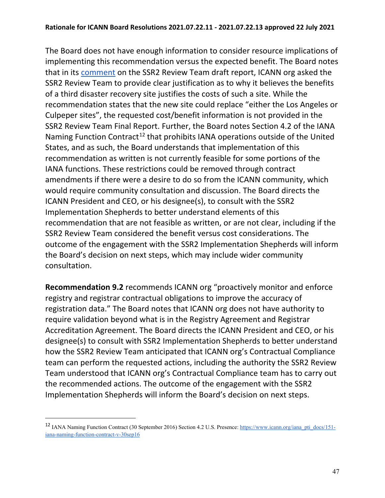The Board does not have enough information to consider resource implications of implementing this recommendation versus the expected benefit. The Board notes that in its [comment](https://mm.icann.org/pipermail/comments-ssr2-rt-draft-report-24jan20/attachments/20200327/775628ad/ICANNorgpubliccommentsubmissiononSSR2DraftReport-0001.pdf) on the SSR2 Review Team draft report, ICANN org asked the SSR2 Review Team to provide clear justification as to why it believes the benefits of a third disaster recovery site justifies the costs of such a site. While the recommendation states that the new site could replace "either the Los Angeles or Culpeper sites", the requested cost/benefit information is not provided in the SSR2 Review Team Final Report. Further, the Board notes Section 4.2 of the IANA Naming Function Contract<sup>[12](#page-46-0)</sup> that prohibits IANA operations outside of the United States, and as such, the Board understands that implementation of this recommendation as written is not currently feasible for some portions of the IANA functions. These restrictions could be removed through contract amendments if there were a desire to do so from the ICANN community, which would require community consultation and discussion. The Board directs the ICANN President and CEO, or his designee(s), to consult with the SSR2 Implementation Shepherds to better understand elements of this recommendation that are not feasible as written, or are not clear, including if the SSR2 Review Team considered the benefit versus cost considerations. The outcome of the engagement with the SSR2 Implementation Shepherds will inform the Board's decision on next steps, which may include wider community consultation.

**Recommendation 9.2** recommends ICANN org "proactively monitor and enforce registry and registrar contractual obligations to improve the accuracy of registration data." The Board notes that ICANN org does not have authority to require validation beyond what is in the Registry Agreement and Registrar Accreditation Agreement. The Board directs the ICANN President and CEO, or his designee(s) to consult with SSR2 Implementation Shepherds to better understand how the SSR2 Review Team anticipated that ICANN org's Contractual Compliance team can perform the requested actions, including the authority the SSR2 Review Team understood that ICANN org's Contractual Compliance team has to carry out the recommended actions. The outcome of the engagement with the SSR2 Implementation Shepherds will inform the Board's decision on next steps.

<span id="page-46-0"></span><sup>12</sup> IANA Naming Function Contract (30 September 2016) Section 4.2 U.S. Presence: [https://www.icann.org/iana\\_pti\\_docs/151](https://www.icann.org/iana_pti_docs/151-iana-naming-function-contract-v-30sep16) [iana-naming-function-contract-v-30sep16](https://www.icann.org/iana_pti_docs/151-iana-naming-function-contract-v-30sep16)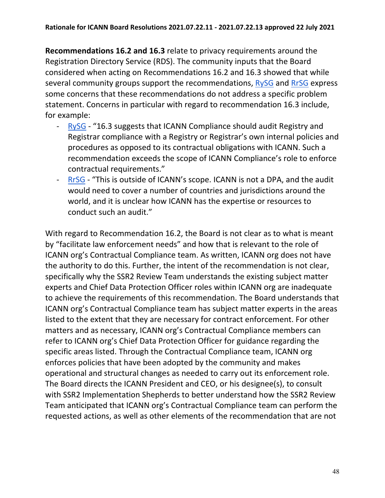**Recommendations 16.2 and 16.3** relate to privacy requirements around the Registration Directory Service (RDS). The community inputs that the Board considered when acting on Recommendations 16.2 and 16.3 showed that while several community groups support the recommendations, [RySG](https://mm.icann.org/pipermail/comments-ssr2-final-report-28jan21/attachments/20210309/de99b585/RySG_comment_Second_Security_Stability_and_Resiliency_SSR2_Review_Team_Final_Report_March-2021.pdf) and [RrSG](https://mm.icann.org/pipermail/comments-ssr2-final-report-28jan21/attachments/20210409/266a750a/ssr2-review-team-final-report-recommendations-ForRrSGfinal.pdf) express some concerns that these recommendations do not address a specific problem statement. Concerns in particular with regard to recommendation 16.3 include, for example:

- [RySG](https://mm.icann.org/pipermail/comments-ssr2-final-report-28jan21/attachments/20210309/de99b585/RySG_comment_Second_Security_Stability_and_Resiliency_SSR2_Review_Team_Final_Report_March-2021.pdf)  "16.3 suggests that ICANN Compliance should audit Registry and Registrar compliance with a Registry or Registrar's own internal policies and procedures as opposed to its contractual obligations with ICANN. Such a recommendation exceeds the scope of ICANN Compliance's role to enforce contractual requirements."
- [RrSG](https://mm.icann.org/pipermail/comments-ssr2-final-report-28jan21/attachments/20210409/266a750a/ssr2-review-team-final-report-recommendations-ForRrSGfinal.pdf)  "This is outside of ICANN's scope. ICANN is not a DPA, and the audit would need to cover a number of countries and jurisdictions around the world, and it is unclear how ICANN has the expertise or resources to conduct such an audit."

With regard to Recommendation 16.2, the Board is not clear as to what is meant by "facilitate law enforcement needs" and how that is relevant to the role of ICANN org's Contractual Compliance team. As written, ICANN org does not have the authority to do this. Further, the intent of the recommendation is not clear, specifically why the SSR2 Review Team understands the existing subject matter experts and Chief Data Protection Officer roles within ICANN org are inadequate to achieve the requirements of this recommendation. The Board understands that ICANN org's Contractual Compliance team has subject matter experts in the areas listed to the extent that they are necessary for contract enforcement. For other matters and as necessary, ICANN org's Contractual Compliance members can refer to ICANN org's Chief Data Protection Officer for guidance regarding the specific areas listed. Through the Contractual Compliance team, ICANN org enforces policies that have been adopted by the community and makes operational and structural changes as needed to carry out its enforcement role. The Board directs the ICANN President and CEO, or his designee(s), to consult with SSR2 Implementation Shepherds to better understand how the SSR2 Review Team anticipated that ICANN org's Contractual Compliance team can perform the requested actions, as well as other elements of the recommendation that are not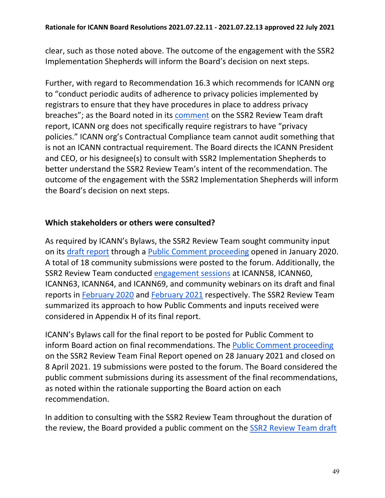clear, such as those noted above. The outcome of the engagement with the SSR2 Implementation Shepherds will inform the Board's decision on next steps.

Further, with regard to Recommendation 16.3 which recommends for ICANN org to "conduct periodic audits of adherence to privacy policies implemented by registrars to ensure that they have procedures in place to address privacy breaches"; as the Board noted in its [comment](https://mm.icann.org/pipermail/comments-ssr2-rt-draft-report-24jan20/attachments/20200320/d0e1d821/03.20.20BoardPCSubmissionFINAL-0001.pdf) on the SSR2 Review Team draft report, ICANN org does not specifically require registrars to have "privacy policies." ICANN org's Contractual Compliance team cannot audit something that is not an ICANN contractual requirement. The Board directs the ICANN President and CEO, or his designee(s) to consult with SSR2 Implementation Shepherds to better understand the SSR2 Review Team's intent of the recommendation. The outcome of the engagement with the SSR2 Implementation Shepherds will inform the Board's decision on next steps.

#### **Which stakeholders or others were consulted?**

As required by ICANN's Bylaws, the SSR2 Review Team sought community input on its [draft report](https://www.icann.org/en/system/files/files/ssr2-review-24jan20-en.pdf) through a [Public Comment proceeding](https://www.icann.org/public-comments/ssr2-rt-draft-report-2020-01-24-en) opened in January 2020. A total of 18 community submissions were posted to the forum. Additionally, the SSR2 Review Team conducted [engagement sessions](https://community.icann.org/x/XJpEB) at ICANN58, ICANN60, ICANN63, ICANN64, and ICANN69, and community webinars on its draft and final reports in [February 2020](https://community.icann.org/x/ZhCJBw) and [February 2021](https://community.icann.org/x/9gZACQ) respectively. The SSR2 Review Team summarized its approach to how Public Comments and inputs received were considered in Appendix H of its final report.

ICANN's Bylaws call for the final report to be posted for Public Comment to inform Board action on final recommendations. The [Public Comment proceeding](https://www.icann.org/public-comments/ssr2-final-report-2021-01-28-en) on the SSR2 Review Team Final Report opened on 28 January 2021 and closed on 8 April 2021. 19 submissions were posted to the forum. The Board considered the public comment submissions during its assessment of the final recommendations, as noted within the rationale supporting the Board action on each recommendation.

In addition to consulting with the SSR2 Review Team throughout the duration of the review, the Board provided a public comment on the SSR2 Review Team draft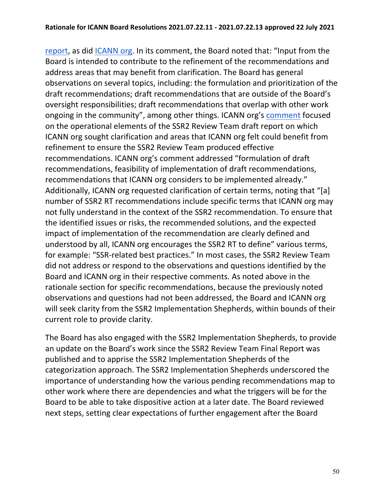[report,](https://www.icann.org/en/system/files/files/ssr2-review-24jan20-en.pdf) as did [ICANN org.](https://mm.icann.org/pipermail/comments-ssr2-rt-draft-report-24jan20/attachments/20200327/775628ad/ICANNorgpubliccommentsubmissiononSSR2DraftReport-0001.pdf) In its comment, the Board noted that: "Input from the Board is intended to contribute to the refinement of the recommendations and address areas that may benefit from clarification. The Board has general observations on several topics, including: the formulation and prioritization of the draft recommendations; draft recommendations that are outside of the Board's oversight responsibilities; draft recommendations that overlap with other work ongoing in the community", among other things. ICANN org's [comment](https://mm.icann.org/pipermail/comments-ssr2-rt-draft-report-24jan20/attachments/20200327/775628ad/ICANNorgpubliccommentsubmissiononSSR2DraftReport-0001.pdf) focused on the operational elements of the SSR2 Review Team draft report on which ICANN org sought clarification and areas that ICANN org felt could benefit from refinement to ensure the SSR2 Review Team produced effective recommendations. ICANN org's comment addressed "formulation of draft recommendations, feasibility of implementation of draft recommendations, recommendations that ICANN org considers to be implemented already." Additionally, ICANN org requested clarification of certain terms, noting that "[a] number of SSR2 RT recommendations include specific terms that ICANN org may not fully understand in the context of the SSR2 recommendation. To ensure that the identified issues or risks, the recommended solutions, and the expected impact of implementation of the recommendation are clearly defined and understood by all, ICANN org encourages the SSR2 RT to define" various terms, for example: "SSR-related best practices." In most cases, the SSR2 Review Team did not address or respond to the observations and questions identified by the Board and ICANN org in their respective comments. As noted above in the rationale section for specific recommendations, because the previously noted observations and questions had not been addressed, the Board and ICANN org will seek clarity from the SSR2 Implementation Shepherds, within bounds of their current role to provide clarity.

The Board has also [engaged with the SSR2 Implementation Shepherds,](https://community.icann.org/display/SSR/SSR2+Implementation+Shepherds) to provide an update on the Board's work since the SSR2 Review Team Final Report was published and to apprise the SSR2 Implementation Shepherds of the categorization approach. The SSR2 Implementation Shepherds underscored the importance of understanding how the various pending recommendations map to other work where there are dependencies and what the triggers will be for the Board to be able to take dispositive action at a later date. The Board reviewed next steps, setting clear expectations of further engagement after the Board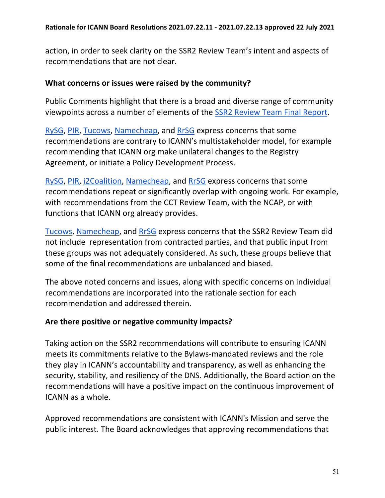action, in order to seek clarity on the SSR2 Review Team's intent and aspects of recommendations that are not clear.

#### **What concerns or issues were raised by the community?**

Public Comments highlight that there is a broad and diverse range of community viewpoints across a number of elements of the [SSR2 Review Team Final Report.](https://www.icann.org/en/system/files/files/ssr2-review-team-final-report-25jan21-en.pdf)

[RySG,](https://mm.icann.org/pipermail/comments-ssr2-final-report-28jan21/attachments/20210309/de99b585/RySG_comment_Second_Security_Stability_and_Resiliency_SSR2_Review_Team_Final_Report_March-2021.pdf) [PIR,](https://mm.icann.org/pipermail/comments-ssr2-final-report-28jan21/attachments/20210310/51a93382/PIRCommentontheSecondSSR2FinalReport.pdf) [Tucows,](https://mm.icann.org/pipermail/comments-ssr2-final-report-28jan21/attachments/20210408/4a9e8b3b/TucowsRegistrarFamilySSR2Response.pdf) [Namecheap,](https://mm.icann.org/pipermail/comments-ssr2-final-report-28jan21/attachments/20210408/73b5d8e7/Namecheap-SSR2FinalReportcomment.pdf) and [RrSG](https://mm.icann.org/pipermail/comments-ssr2-final-report-28jan21/attachments/20210409/266a750a/ssr2-review-team-final-report-recommendations-ForRrSGfinal.pdf) express concerns that some recommendations are contrary to ICANN's multistakeholder model, for example recommending that ICANN org make unilateral changes to the Registry Agreement, or initiate a Policy Development Process.

[RySG,](https://mm.icann.org/pipermail/comments-ssr2-final-report-28jan21/attachments/20210309/de99b585/RySG_comment_Second_Security_Stability_and_Resiliency_SSR2_Review_Team_Final_Report_March-2021.pdf) [PIR,](https://mm.icann.org/pipermail/comments-ssr2-final-report-28jan21/attachments/20210310/51a93382/PIRCommentontheSecondSSR2FinalReport.pdf) [i2Coalition,](https://mm.icann.org/pipermail/comments-ssr2-final-report-28jan21/attachments/20210408/09a32842/i2CoalitioncommentforSSR2.pdf) [Namecheap,](https://mm.icann.org/pipermail/comments-ssr2-final-report-28jan21/attachments/20210408/73b5d8e7/Namecheap-SSR2FinalReportcomment.pdf) and [RrSG](https://mm.icann.org/pipermail/comments-ssr2-final-report-28jan21/attachments/20210409/266a750a/ssr2-review-team-final-report-recommendations-ForRrSGfinal.pdf) express concerns that some recommendations repeat or significantly overlap with ongoing work. For example, with recommendations from the CCT Review Team, with the NCAP, or with functions that ICANN org already provides.

[Tucows,](https://mm.icann.org/pipermail/comments-ssr2-final-report-28jan21/attachments/20210408/4a9e8b3b/TucowsRegistrarFamilySSR2Response.pdf) [Namecheap,](https://mm.icann.org/pipermail/comments-ssr2-final-report-28jan21/attachments/20210408/73b5d8e7/Namecheap-SSR2FinalReportcomment.pdf) and [RrSG](https://mm.icann.org/pipermail/comments-ssr2-final-report-28jan21/attachments/20210409/266a750a/ssr2-review-team-final-report-recommendations-ForRrSGfinal.pdf) express concerns that the SSR2 Review Team did not include representation from contracted parties, and that public input from these groups was not adequately considered. As such, these groups believe that some of the final recommendations are unbalanced and biased.

The above noted concerns and issues, along with specific concerns on individual recommendations are incorporated into the rationale section for each recommendation and addressed therein.

### **Are there positive or negative community impacts?**

Taking action on the SSR2 recommendations will contribute to ensuring ICANN meets its commitments relative to the Bylaws-mandated reviews and the role they play in ICANN's accountability and transparency, as well as enhancing the security, stability, and resiliency of the DNS. Additionally, the Board action on the recommendations will have a positive impact on the continuous improvement of ICANN as a whole.

Approved recommendations are consistent with ICANN's Mission and serve the public interest. The Board acknowledges that approving recommendations that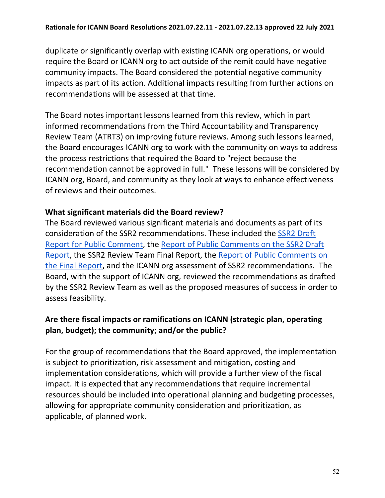duplicate or significantly overlap with existing ICANN org operations, or would require the Board or ICANN org to act outside of the remit could have negative community impacts. The Board considered the potential negative community impacts as part of its action. Additional impacts resulting from further actions on recommendations will be assessed at that time.

The Board notes important lessons learned from this review, which in part informed recommendations from the Third Accountability and Transparency Review Team (ATRT3) on improving future reviews. Among such lessons learned, the Board encourages ICANN org to work with the community on ways to address the process restrictions that required the Board to "reject because the recommendation cannot be approved in full." These lessons will be considered by ICANN org, Board, and community as they look at ways to enhance effectiveness of reviews and their outcomes.

### **What significant materials did the Board review?**

The Board reviewed various significant materials and documents as part of its consideration of the SSR2 recommendations. These included the [SSR2 Draft](https://www.icann.org/en/system/files/files/ssr2-review-24jan20-en.pdf)  [Report for Public Comment,](https://www.icann.org/en/system/files/files/ssr2-review-24jan20-en.pdf) the [Report of Public Comments on the SSR2 Draft](https://www.icann.org/en/system/files/files/report-comments-ssr2-rt-draft-report-22apr20-en.pdf)  [Report,](https://www.icann.org/en/system/files/files/report-comments-ssr2-rt-draft-report-22apr20-en.pdf) the [SSR2 Review Team Final Report,](https://www.icann.org/en/system/files/files/ssr2-review-team-final-report-25jan21-en.pdf) the [Report of Public Comments on](https://www.icann.org/en/system/files/files/report-comments-ssr2-final-report-10may21-en.pdf)  [the Final Report,](https://www.icann.org/en/system/files/files/report-comments-ssr2-final-report-10may21-en.pdf) and the ICANN org assessment of SSR2 recommendations. The Board, with the support of ICANN org, reviewed the recommendations as drafted by the SSR2 Review Team as well as the proposed measures of success in order to assess feasibility.

# **Are there fiscal impacts or ramifications on ICANN (strategic plan, operating plan, budget); the community; and/or the public?**

For the group of recommendations that the Board approved, the implementation is subject to prioritization, risk assessment and mitigation, costing and implementation considerations, which will provide a further view of the fiscal impact. It is expected that any recommendations that require incremental resources should be included into operational planning and budgeting processes, allowing for appropriate community consideration and prioritization, as applicable, of planned work.